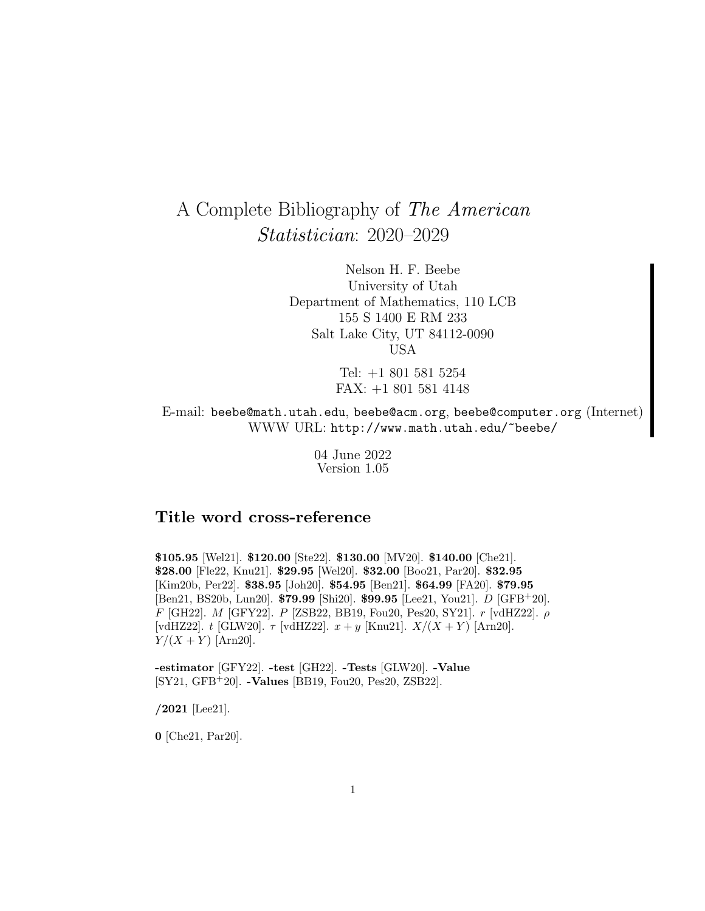# A Complete Bibliography of The American Statistician: 2020–2029

Nelson H. F. Beebe University of Utah Department of Mathematics, 110 LCB 155 S 1400 E RM 233 Salt Lake City, UT 84112-0090 USA

> Tel: +1 801 581 5254 FAX: +1 801 581 4148

E-mail: beebe@math.utah.edu, beebe@acm.org, beebe@computer.org (Internet) WWW URL: http://www.math.utah.edu/~beebe/

> 04 June 2022 Version 1.05

## **Title word cross-reference**

**\$105.95** [Wel21]. **\$120.00** [Ste22]. **\$130.00** [MV20]. **\$140.00** [Che21]. **\$28.00** [Fle22, Knu21]. **\$29.95** [Wel20]. **\$32.00** [Boo21, Par20]. **\$32.95** [Kim20b, Per22]. **\$38.95** [Joh20]. **\$54.95** [Ben21]. **\$64.99** [FA20]. **\$79.95** [Ben21, BS20b, Lun20]. **\$79.99** [Shi20]. **\$99.95** [Lee21, You21]. D [GFB<sup>+</sup>20]. F [GH22]. M [GFY22]. P [ZSB22, BB19, Fou20, Pes20, SY21]. r [vdHZ22]. ρ [vdHZ22]. t [GLW20].  $\tau$  [vdHZ22].  $x + y$  [Knu21].  $X/(X + Y)$  [Arn20].  $Y/(X + Y)$  [Arn20].

**-estimator** [GFY22]. **-test** [GH22]. **-Tests** [GLW20]. **-Value** [SY21, GFB<sup>+</sup>20]. **-Values** [BB19, Fou20, Pes20, ZSB22].

**/2021** [Lee21].

**0** [Che21, Par20].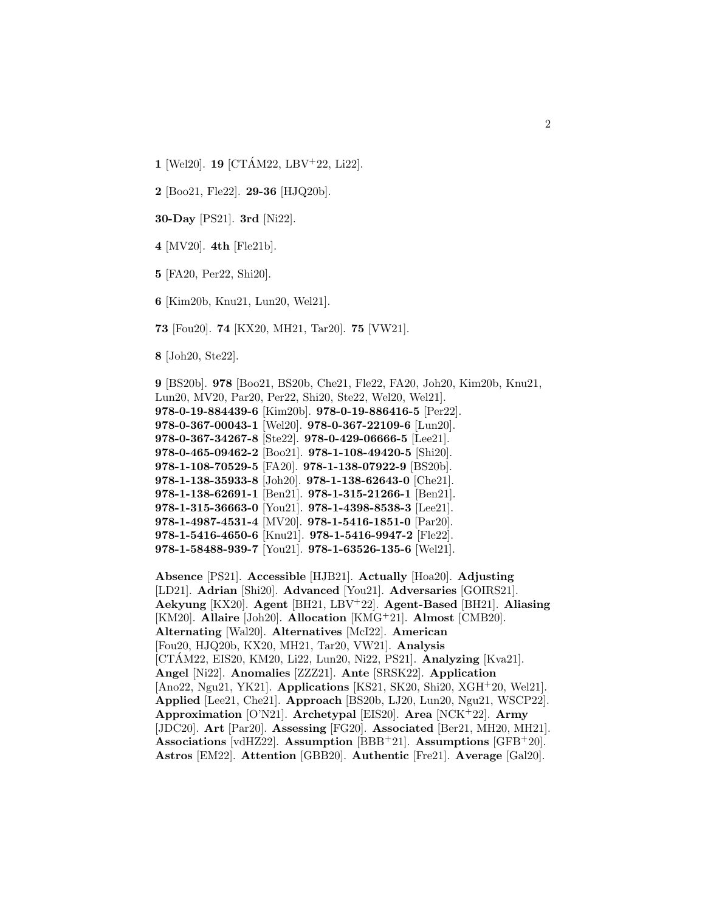**1** [Wel20]. **19** [CTÁM22, LBV<sup>+</sup>22, Li22].

**2** [Boo21, Fle22]. **29-36** [HJQ20b].

**30-Day** [PS21]. **3rd** [Ni22].

**4** [MV20]. **4th** [Fle21b].

**5** [FA20, Per22, Shi20].

**6** [Kim20b, Knu21, Lun20, Wel21].

**73** [Fou20]. **74** [KX20, MH21, Tar20]. **75** [VW21].

**8** [Joh20, Ste22].

**9** [BS20b]. **978** [Boo21, BS20b, Che21, Fle22, FA20, Joh20, Kim20b, Knu21, Lun20, MV20, Par20, Per22, Shi20, Ste22, Wel20, Wel21]. **978-0-19-884439-6** [Kim20b]. **978-0-19-886416-5** [Per22]. **978-0-367-00043-1** [Wel20]. **978-0-367-22109-6** [Lun20]. **978-0-367-34267-8** [Ste22]. **978-0-429-06666-5** [Lee21]. **978-0-465-09462-2** [Boo21]. **978-1-108-49420-5** [Shi20]. **978-1-108-70529-5** [FA20]. **978-1-138-07922-9** [BS20b]. **978-1-138-35933-8** [Joh20]. **978-1-138-62643-0** [Che21]. **978-1-138-62691-1** [Ben21]. **978-1-315-21266-1** [Ben21]. **978-1-315-36663-0** [You21]. **978-1-4398-8538-3** [Lee21]. **978-1-4987-4531-4** [MV20]. **978-1-5416-1851-0** [Par20]. **978-1-5416-4650-6** [Knu21]. **978-1-5416-9947-2** [Fle22]. **978-1-58488-939-7** [You21]. **978-1-63526-135-6** [Wel21].

**Absence** [PS21]. **Accessible** [HJB21]. **Actually** [Hoa20]. **Adjusting** [LD21]. **Adrian** [Shi20]. **Advanced** [You21]. **Adversaries** [GOIRS21]. **Aekyung** [KX20]. **Agent** [BH21, LBV<sup>+</sup>22]. **Agent-Based** [BH21]. **Aliasing** [KM20]. **Allaire** [Joh20]. **Allocation** [KMG<sup>+</sup>21]. **Almost** [CMB20]. **Alternating** [Wal20]. **Alternatives** [McI22]. **American** [Fou20, HJQ20b, KX20, MH21, Tar20, VW21]. **Analysis** [CTÁM22, EIS20, KM20, Li22, Lun20, Ni22, PS21]. **Analyzing** [Kva21]. **Angel** [Ni22]. **Anomalies** [ZZZ21]. **Ante** [SRSK22]. **Application** [Ano22, Ngu21, YK21]. **Applications** [KS21, SK20, Shi20, XGH<sup>+</sup>20, Wel21]. **Applied** [Lee21, Che21]. **Approach** [BS20b, LJ20, Lun20, Ngu21, WSCP22]. **Approximation** [O'N21]. **Archetypal** [EIS20]. **Area** [NCK<sup>+</sup>22]. **Army** [JDC20]. **Art** [Par20]. **Assessing** [FG20]. **Associated** [Ber21, MH20, MH21]. **Associations** [vdHZ22]. **Assumption** [BBB<sup>+</sup>21]. **Assumptions** [GFB<sup>+</sup>20]. **Astros** [EM22]. **Attention** [GBB20]. **Authentic** [Fre21]. **Average** [Gal20].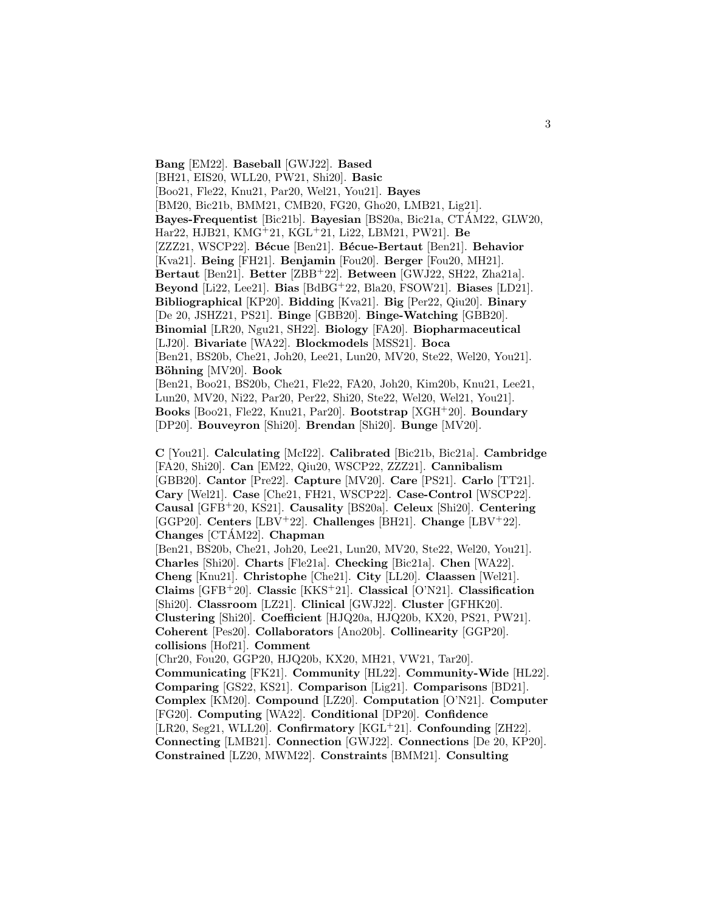**Bang** [EM22]. **Baseball** [GWJ22]. **Based** [BH21, EIS20, WLL20, PW21, Shi20]. **Basic** [Boo21, Fle22, Knu21, Par20, Wel21, You21]. **Bayes** [BM20, Bic21b, BMM21, CMB20, FG20, Gho20, LMB21, Lig21]. **Bayes-Frequentist** [Bic21b]. **Bayesian** [BS20a, Bic21a, CTAM22, GLW20, ´ Har22, HJB21, KMG<sup>+</sup>21, KGL<sup>+</sup>21, Li22, LBM21, PW21]. **Be** [ZZZ21, WSCP22]. **B´ecue** [Ben21]. **B´ecue-Bertaut** [Ben21]. **Behavior** [Kva21]. **Being** [FH21]. **Benjamin** [Fou20]. **Berger** [Fou20, MH21]. **Bertaut** [Ben21]. **Better** [ZBB<sup>+</sup>22]. **Between** [GWJ22, SH22, Zha21a]. **Beyond** [Li22, Lee21]. **Bias** [BdBG<sup>+</sup>22, Bla20, FSOW21]. **Biases** [LD21]. **Bibliographical** [KP20]. **Bidding** [Kva21]. **Big** [Per22, Qiu20]. **Binary** [De 20, JSHZ21, PS21]. **Binge** [GBB20]. **Binge-Watching** [GBB20]. **Binomial** [LR20, Ngu21, SH22]. **Biology** [FA20]. **Biopharmaceutical** [LJ20]. **Bivariate** [WA22]. **Blockmodels** [MSS21]. **Boca** [Ben21, BS20b, Che21, Joh20, Lee21, Lun20, MV20, Ste22, Wel20, You21]. **B¨ohning** [MV20]. **Book** [Ben21, Boo21, BS20b, Che21, Fle22, FA20, Joh20, Kim20b, Knu21, Lee21, Lun20, MV20, Ni22, Par20, Per22, Shi20, Ste22, Wel20, Wel21, You21]. **Books** [Boo21, Fle22, Knu21, Par20]. **Bootstrap** [XGH<sup>+</sup>20]. **Boundary** [DP20]. **Bouveyron** [Shi20]. **Brendan** [Shi20]. **Bunge** [MV20]. **C** [You21]. **Calculating** [McI22]. **Calibrated** [Bic21b, Bic21a]. **Cambridge** [FA20, Shi20]. **Can** [EM22, Qiu20, WSCP22, ZZZ21]. **Cannibalism** [GBB20]. **Cantor** [Pre22]. **Capture** [MV20]. **Care** [PS21]. **Carlo** [TT21].

**Cary** [Wel21]. **Case** [Che21, FH21, WSCP22]. **Case-Control** [WSCP22]. **Causal** [GFB<sup>+</sup>20, KS21]. **Causality** [BS20a]. **Celeux** [Shi20]. **Centering** [GGP20]. **Centers** [LBV<sup>+</sup>22]. **Challenges** [BH21]. **Change** [LBV<sup>+</sup>22]. **Changes** [CTAM22]. ´ **Chapman** [Ben21, BS20b, Che21, Joh20, Lee21, Lun20, MV20, Ste22, Wel20, You21].

**Charles** [Shi20]. **Charts** [Fle21a]. **Checking** [Bic21a]. **Chen** [WA22]. **Cheng** [Knu21]. **Christophe** [Che21]. **City** [LL20]. **Claassen** [Wel21]. **Claims** [GFB<sup>+</sup>20]. **Classic** [KKS<sup>+</sup>21]. **Classical** [O'N21]. **Classification** [Shi20]. **Classroom** [LZ21]. **Clinical** [GWJ22]. **Cluster** [GFHK20]. **Clustering** [Shi20]. **Coefficient** [HJQ20a, HJQ20b, KX20, PS21, PW21]. **Coherent** [Pes20]. **Collaborators** [Ano20b]. **Collinearity** [GGP20]. **collisions** [Hof21]. **Comment** [Chr20, Fou20, GGP20, HJQ20b, KX20, MH21, VW21, Tar20].

**Communicating** [FK21]. **Community** [HL22]. **Community-Wide** [HL22]. **Comparing** [GS22, KS21]. **Comparison** [Lig21]. **Comparisons** [BD21]. **Complex** [KM20]. **Compound** [LZ20]. **Computation** [O'N21]. **Computer** [FG20]. **Computing** [WA22]. **Conditional** [DP20]. **Confidence** [LR20, Seg21, WLL20]. **Confirmatory** [KGL<sup>+</sup>21]. **Confounding** [ZH22]. **Connecting** [LMB21]. **Connection** [GWJ22]. **Connections** [De 20, KP20]. **Constrained** [LZ20, MWM22]. **Constraints** [BMM21]. **Consulting**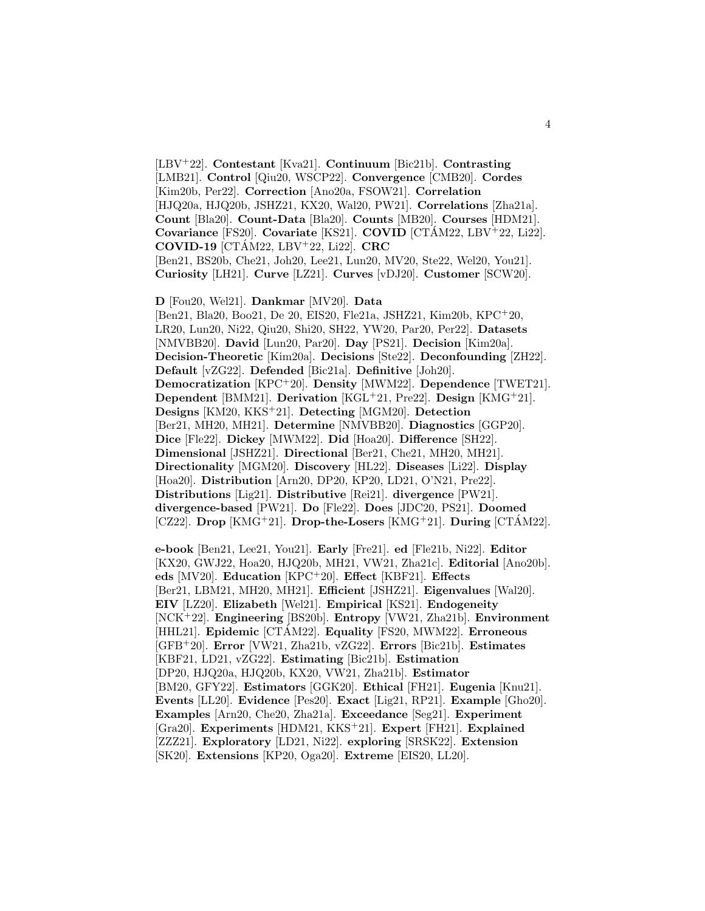[LBV<sup>+</sup>22]. **Contestant** [Kva21]. **Continuum** [Bic21b]. **Contrasting** [LMB21]. **Control** [Qiu20, WSCP22]. **Convergence** [CMB20]. **Cordes** [Kim20b, Per22]. **Correction** [Ano20a, FSOW21]. **Correlation** [HJQ20a, HJQ20b, JSHZ21, KX20, Wal20, PW21]. **Correlations** [Zha21a]. **Count** [Bla20]. **Count-Data** [Bla20]. **Counts** [MB20]. **Courses** [HDM21]. **Covariance** [FS20]. **Covariate** [KS21]. **COVID** [CTÁM22, LBV+22, Li22]. **COVID-19** [CTÁM22, LBV<sup>+</sup>22, Li22]. **CRC** [Ben21, BS20b, Che21, Joh20, Lee21, Lun20, MV20, Ste22, Wel20, You21]. **Curiosity** [LH21]. **Curve** [LZ21]. **Curves** [vDJ20]. **Customer** [SCW20].

**D** [Fou20, Wel21]. **Dankmar** [MV20]. **Data** [Ben21, Bla20, Boo21, De 20, EIS20, Fle21a, JSHZ21, Kim20b, KPC<sup>+</sup>20, LR20, Lun20, Ni22, Qiu20, Shi20, SH22, YW20, Par20, Per22]. **Datasets** [NMVBB20]. **David** [Lun20, Par20]. **Day** [PS21]. **Decision** [Kim20a]. **Decision-Theoretic** [Kim20a]. **Decisions** [Ste22]. **Deconfounding** [ZH22]. **Default** [vZG22]. **Defended** [Bic21a]. **Definitive** [Joh20]. **Democratization** [KPC<sup>+</sup>20]. **Density** [MWM22]. **Dependence** [TWET21]. **Dependent** [BMM21]. **Derivation** [KGL<sup>+</sup>21, Pre22]. **Design** [KMG<sup>+</sup>21]. **Designs** [KM20, KKS<sup>+</sup>21]. **Detecting** [MGM20]. **Detection** [Ber21, MH20, MH21]. **Determine** [NMVBB20]. **Diagnostics** [GGP20]. **Dice** [Fle22]. **Dickey** [MWM22]. **Did** [Hoa20]. **Difference** [SH22]. **Dimensional** [JSHZ21]. **Directional** [Ber21, Che21, MH20, MH21]. **Directionality** [MGM20]. **Discovery** [HL22]. **Diseases** [Li22]. **Display** [Hoa20]. **Distribution** [Arn20, DP20, KP20, LD21, O'N21, Pre22]. **Distributions** [Lig21]. **Distributive** [Rei21]. **divergence** [PW21]. **divergence-based** [PW21]. **Do** [Fle22]. **Does** [JDC20, PS21]. **Doomed**  $[CZ22]$ . **Drop**  $[KMG^+21]$ . **Drop-the-Losers**  $[KMG^+21]$ . **During**  $[CTAM22]$ .

**e-book** [Ben21, Lee21, You21]. **Early** [Fre21]. **ed** [Fle21b, Ni22]. **Editor** [KX20, GWJ22, Hoa20, HJQ20b, MH21, VW21, Zha21c]. **Editorial** [Ano20b]. **eds** [MV20]. **Education** [KPC<sup>+</sup>20]. **Effect** [KBF21]. **Effects** [Ber21, LBM21, MH20, MH21]. **Efficient** [JSHZ21]. **Eigenvalues** [Wal20]. **EIV** [LZ20]. **Elizabeth** [Wel21]. **Empirical** [KS21]. **Endogeneity** [NCK<sup>+</sup>22]. **Engineering** [BS20b]. **Entropy** [VW21, Zha21b]. **Environment** [HHL21]. **Epidemic** [CTAM22]. ´ **Equality** [FS20, MWM22]. **Erroneous** [GFB<sup>+</sup>20]. **Error** [VW21, Zha21b, vZG22]. **Errors** [Bic21b]. **Estimates** [KBF21, LD21, vZG22]. **Estimating** [Bic21b]. **Estimation** [DP20, HJQ20a, HJQ20b, KX20, VW21, Zha21b]. **Estimator** [BM20, GFY22]. **Estimators** [GGK20]. **Ethical** [FH21]. **Eugenia** [Knu21]. **Events** [LL20]. **Evidence** [Pes20]. **Exact** [Lig21, RP21]. **Example** [Gho20]. **Examples** [Arn20, Che20, Zha21a]. **Exceedance** [Seg21]. **Experiment** [Gra20]. **Experiments** [HDM21, KKS<sup>+</sup>21]. **Expert** [FH21]. **Explained** [ZZZ21]. **Exploratory** [LD21, Ni22]. **exploring** [SRSK22]. **Extension** [SK20]. **Extensions** [KP20, Oga20]. **Extreme** [EIS20, LL20].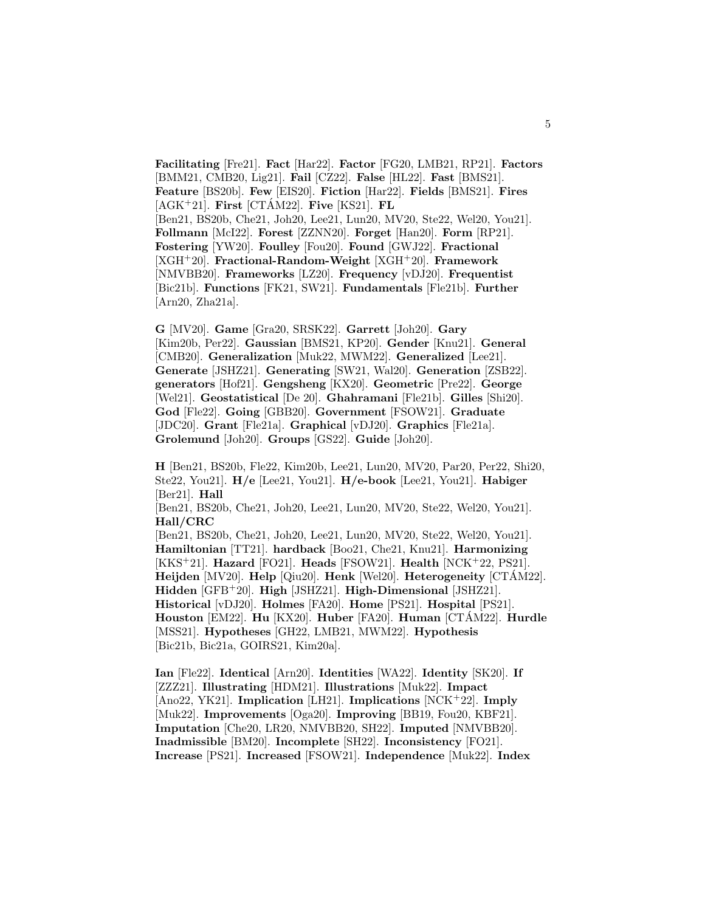**Facilitating** [Fre21]. **Fact** [Har22]. **Factor** [FG20, LMB21, RP21]. **Factors** [BMM21, CMB20, Lig21]. **Fail** [CZ22]. **False** [HL22]. **Fast** [BMS21]. **Feature** [BS20b]. **Few** [EIS20]. **Fiction** [Har22]. **Fields** [BMS21]. **Fires**  $[AGK^+21]$ . **First**  $[CTAM22]$ . **Five**  $[KS21]$ . **FL** [Ben21, BS20b, Che21, Joh20, Lee21, Lun20, MV20, Ste22, Wel20, You21]. **Follmann** [McI22]. **Forest** [ZZNN20]. **Forget** [Han20]. **Form** [RP21]. **Fostering** [YW20]. **Foulley** [Fou20]. **Found** [GWJ22]. **Fractional** [XGH<sup>+</sup>20]. **Fractional-Random-Weight** [XGH<sup>+</sup>20]. **Framework** [NMVBB20]. **Frameworks** [LZ20]. **Frequency** [vDJ20]. **Frequentist** [Bic21b]. **Functions** [FK21, SW21]. **Fundamentals** [Fle21b]. **Further** [Arn20, Zha21a].

**G** [MV20]. **Game** [Gra20, SRSK22]. **Garrett** [Joh20]. **Gary** [Kim20b, Per22]. **Gaussian** [BMS21, KP20]. **Gender** [Knu21]. **General** [CMB20]. **Generalization** [Muk22, MWM22]. **Generalized** [Lee21]. **Generate** [JSHZ21]. **Generating** [SW21, Wal20]. **Generation** [ZSB22]. **generators** [Hof21]. **Gengsheng** [KX20]. **Geometric** [Pre22]. **George** [Wel21]. **Geostatistical** [De 20]. **Ghahramani** [Fle21b]. **Gilles** [Shi20]. **God** [Fle22]. **Going** [GBB20]. **Government** [FSOW21]. **Graduate** [JDC20]. **Grant** [Fle21a]. **Graphical** [vDJ20]. **Graphics** [Fle21a]. **Grolemund** [Joh20]. **Groups** [GS22]. **Guide** [Joh20].

**H** [Ben21, BS20b, Fle22, Kim20b, Lee21, Lun20, MV20, Par20, Per22, Shi20, Ste22, You21]. **H/e** [Lee21, You21]. **H/e-book** [Lee21, You21]. **Habiger** [Ber21]. **Hall**

[Ben21, BS20b, Che21, Joh20, Lee21, Lun20, MV20, Ste22, Wel20, You21]. **Hall/CRC**

[Ben21, BS20b, Che21, Joh20, Lee21, Lun20, MV20, Ste22, Wel20, You21]. **Hamiltonian** [TT21]. **hardback** [Boo21, Che21, Knu21]. **Harmonizing** [KKS<sup>+</sup>21]. **Hazard** [FO21]. **Heads** [FSOW21]. **Health** [NCK<sup>+</sup>22, PS21]. **Heijden** [MV20]. **Help** [Qiu20]. **Henk** [Wel20]. **Heterogeneity** [CTAM22]. ´ **Hidden** [GFB<sup>+</sup>20]. **High** [JSHZ21]. **High-Dimensional** [JSHZ21]. **Historical** [vDJ20]. **Holmes** [FA20]. **Home** [PS21]. **Hospital** [PS21]. **Houston** [EM22]. **Hu** [KX20]. **Huber** [FA20]. **Human** [CTAM22]. ´ **Hurdle** [MSS21]. **Hypotheses** [GH22, LMB21, MWM22]. **Hypothesis** [Bic21b, Bic21a, GOIRS21, Kim20a].

**Ian** [Fle22]. **Identical** [Arn20]. **Identities** [WA22]. **Identity** [SK20]. **If** [ZZZ21]. **Illustrating** [HDM21]. **Illustrations** [Muk22]. **Impact** [Ano22, YK21]. **Implication** [LH21]. **Implications** [NCK<sup>+</sup>22]. **Imply** [Muk22]. **Improvements** [Oga20]. **Improving** [BB19, Fou20, KBF21]. **Imputation** [Che20, LR20, NMVBB20, SH22]. **Imputed** [NMVBB20]. **Inadmissible** [BM20]. **Incomplete** [SH22]. **Inconsistency** [FO21]. **Increase** [PS21]. **Increased** [FSOW21]. **Independence** [Muk22]. **Index**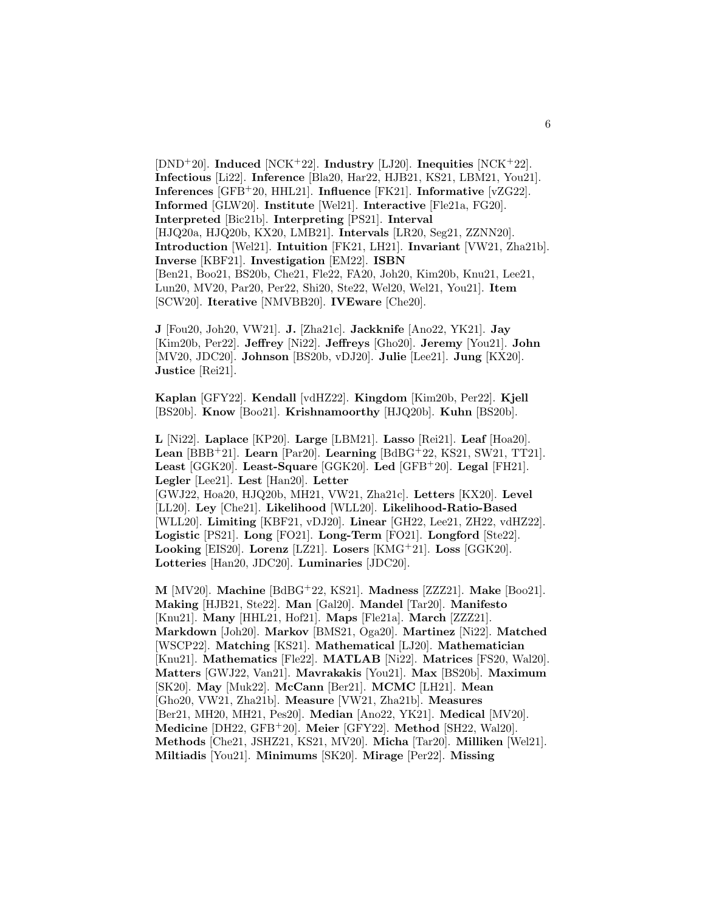[DND<sup>+</sup>20]. **Induced** [NCK<sup>+</sup>22]. **Industry** [LJ20]. **Inequities** [NCK<sup>+</sup>22]. **Infectious** [Li22]. **Inference** [Bla20, Har22, HJB21, KS21, LBM21, You21]. **Inferences** [GFB<sup>+</sup>20, HHL21]. **Influence** [FK21]. **Informative** [vZG22]. **Informed** [GLW20]. **Institute** [Wel21]. **Interactive** [Fle21a, FG20]. **Interpreted** [Bic21b]. **Interpreting** [PS21]. **Interval** [HJQ20a, HJQ20b, KX20, LMB21]. **Intervals** [LR20, Seg21, ZZNN20]. **Introduction** [Wel21]. **Intuition** [FK21, LH21]. **Invariant** [VW21, Zha21b]. **Inverse** [KBF21]. **Investigation** [EM22]. **ISBN** [Ben21, Boo21, BS20b, Che21, Fle22, FA20, Joh20, Kim20b, Knu21, Lee21, Lun20, MV20, Par20, Per22, Shi20, Ste22, Wel20, Wel21, You21]. **Item** [SCW20]. **Iterative** [NMVBB20]. **IVEware** [Che20].

**J** [Fou20, Joh20, VW21]. **J.** [Zha21c]. **Jackknife** [Ano22, YK21]. **Jay** [Kim20b, Per22]. **Jeffrey** [Ni22]. **Jeffreys** [Gho20]. **Jeremy** [You21]. **John** [MV20, JDC20]. **Johnson** [BS20b, vDJ20]. **Julie** [Lee21]. **Jung** [KX20]. **Justice** [Rei21].

**Kaplan** [GFY22]. **Kendall** [vdHZ22]. **Kingdom** [Kim20b, Per22]. **Kjell** [BS20b]. **Know** [Boo21]. **Krishnamoorthy** [HJQ20b]. **Kuhn** [BS20b].

**L** [Ni22]. **Laplace** [KP20]. **Large** [LBM21]. **Lasso** [Rei21]. **Leaf** [Hoa20]. **Lean** [BBB<sup>+</sup>21]. **Learn** [Par20]. **Learning** [BdBG<sup>+</sup>22, KS21, SW21, TT21]. **Least** [GGK20]. **Least-Square** [GGK20]. **Led** [GFB<sup>+</sup>20]. **Legal** [FH21]. **Legler** [Lee21]. **Lest** [Han20]. **Letter** [GWJ22, Hoa20, HJQ20b, MH21, VW21, Zha21c]. **Letters** [KX20]. **Level** [LL20]. **Ley** [Che21]. **Likelihood** [WLL20]. **Likelihood-Ratio-Based** [WLL20]. **Limiting** [KBF21, vDJ20]. **Linear** [GH22, Lee21, ZH22, vdHZ22]. **Logistic** [PS21]. **Long** [FO21]. **Long-Term** [FO21]. **Longford** [Ste22]. **Looking** [EIS20]. **Lorenz** [LZ21]. **Losers** [KMG<sup>+</sup>21]. **Loss** [GGK20]. **Lotteries** [Han20, JDC20]. **Luminaries** [JDC20].

**M** [MV20]. **Machine** [BdBG<sup>+</sup>22, KS21]. **Madness** [ZZZ21]. **Make** [Boo21]. **Making** [HJB21, Ste22]. **Man** [Gal20]. **Mandel** [Tar20]. **Manifesto** [Knu21]. **Many** [HHL21, Hof21]. **Maps** [Fle21a]. **March** [ZZZ21]. **Markdown** [Joh20]. **Markov** [BMS21, Oga20]. **Martinez** [Ni22]. **Matched** [WSCP22]. **Matching** [KS21]. **Mathematical** [LJ20]. **Mathematician** [Knu21]. **Mathematics** [Fle22]. **MATLAB** [Ni22]. **Matrices** [FS20, Wal20]. **Matters** [GWJ22, Van21]. **Mavrakakis** [You21]. **Max** [BS20b]. **Maximum** [SK20]. **May** [Muk22]. **McCann** [Ber21]. **MCMC** [LH21]. **Mean** [Gho20, VW21, Zha21b]. **Measure** [VW21, Zha21b]. **Measures** [Ber21, MH20, MH21, Pes20]. **Median** [Ano22, YK21]. **Medical** [MV20]. **Medicine** [DH22, GFB<sup>+</sup>20]. **Meier** [GFY22]. **Method** [SH22, Wal20]. **Methods** [Che21, JSHZ21, KS21, MV20]. **Micha** [Tar20]. **Milliken** [Wel21]. **Miltiadis** [You21]. **Minimums** [SK20]. **Mirage** [Per22]. **Missing**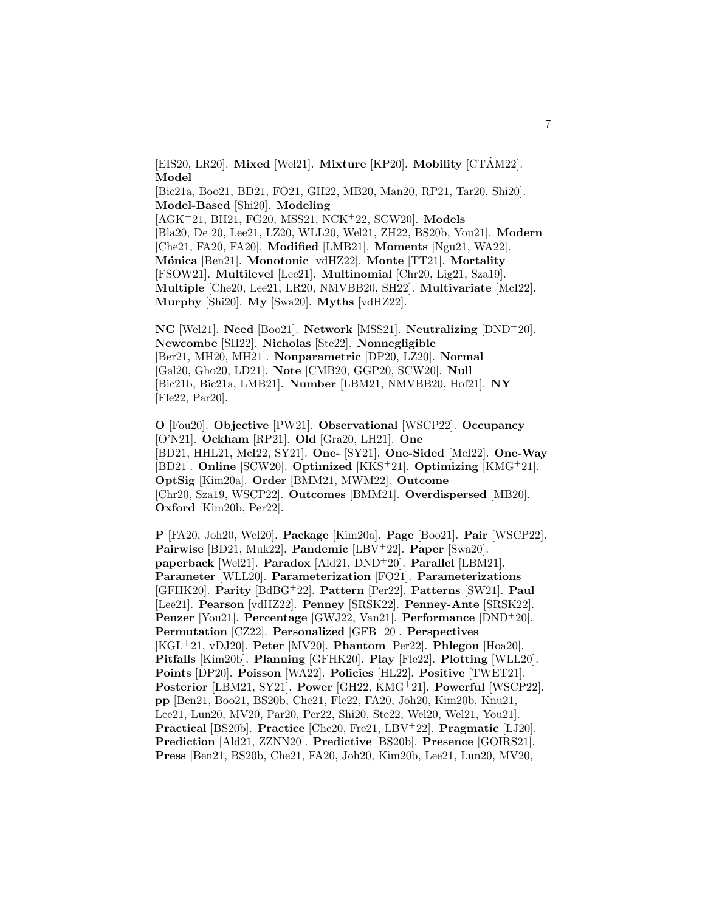[EIS20, LR20]. **Mixed** [Wel21]. **Mixture** [KP20]. **Mobility** [CTAM22]. ´ **Model** [Bic21a, Boo21, BD21, FO21, GH22, MB20, Man20, RP21, Tar20, Shi20]. **Model-Based** [Shi20]. **Modeling** [AGK<sup>+</sup>21, BH21, FG20, MSS21, NCK<sup>+</sup>22, SCW20]. **Models** [Bla20, De 20, Lee21, LZ20, WLL20, Wel21, ZH22, BS20b, You21]. **Modern** [Che21, FA20, FA20]. **Modified** [LMB21]. **Moments** [Ngu21, WA22]. **M´onica** [Ben21]. **Monotonic** [vdHZ22]. **Monte** [TT21]. **Mortality** [FSOW21]. **Multilevel** [Lee21]. **Multinomial** [Chr20, Lig21, Sza19]. **Multiple** [Che20, Lee21, LR20, NMVBB20, SH22]. **Multivariate** [McI22]. **Murphy** [Shi20]. **My** [Swa20]. **Myths** [vdHZ22].

**NC** [Wel21]. **Need** [Boo21]. **Network** [MSS21]. **Neutralizing** [DND<sup>+</sup>20]. **Newcombe** [SH22]. **Nicholas** [Ste22]. **Nonnegligible** [Ber21, MH20, MH21]. **Nonparametric** [DP20, LZ20]. **Normal** [Gal20, Gho20, LD21]. **Note** [CMB20, GGP20, SCW20]. **Null** [Bic21b, Bic21a, LMB21]. **Number** [LBM21, NMVBB20, Hof21]. **NY** [Fle22, Par20].

**O** [Fou20]. **Objective** [PW21]. **Observational** [WSCP22]. **Occupancy** [O'N21]. **Ockham** [RP21]. **Old** [Gra20, LH21]. **One** [BD21, HHL21, McI22, SY21]. **One-** [SY21]. **One-Sided** [McI22]. **One-Way** [BD21]. **Online** [SCW20]. **Optimized** [KKS<sup>+</sup>21]. **Optimizing** [KMG<sup>+</sup>21]. **OptSig** [Kim20a]. **Order** [BMM21, MWM22]. **Outcome** [Chr20, Sza19, WSCP22]. **Outcomes** [BMM21]. **Overdispersed** [MB20]. **Oxford** [Kim20b, Per22].

**P** [FA20, Joh20, Wel20]. **Package** [Kim20a]. **Page** [Boo21]. **Pair** [WSCP22]. **Pairwise** [BD21, Muk22]. **Pandemic** [LBV<sup>+</sup>22]. **Paper** [Swa20]. **paperback** [Wel21]. **Paradox** [Ald21, DND<sup>+</sup>20]. **Parallel** [LBM21]. **Parameter** [WLL20]. **Parameterization** [FO21]. **Parameterizations** [GFHK20]. **Parity** [BdBG<sup>+</sup>22]. **Pattern** [Per22]. **Patterns** [SW21]. **Paul** [Lee21]. **Pearson** [vdHZ22]. **Penney** [SRSK22]. **Penney-Ante** [SRSK22]. **Penzer** [You21]. **Percentage** [GWJ22, Van21]. **Performance** [DND<sup>+</sup>20]. **Permutation** [CZ22]. **Personalized** [GFB<sup>+</sup>20]. **Perspectives** [KGL<sup>+</sup>21, vDJ20]. **Peter** [MV20]. **Phantom** [Per22]. **Phlegon** [Hoa20]. **Pitfalls** [Kim20b]. **Planning** [GFHK20]. **Play** [Fle22]. **Plotting** [WLL20]. **Points** [DP20]. **Poisson** [WA22]. **Policies** [HL22]. **Positive** [TWET21]. **Posterior** [LBM21, SY21]. **Power** [GH22, KMG<sup>+</sup>21]. **Powerful** [WSCP22]. **pp** [Ben21, Boo21, BS20b, Che21, Fle22, FA20, Joh20, Kim20b, Knu21, Lee21, Lun20, MV20, Par20, Per22, Shi20, Ste22, Wel20, Wel21, You21]. **Practical** [BS20b]. **Practice** [Che20, Fre21, LBV<sup>+</sup>22]. **Pragmatic** [LJ20]. **Prediction** [Ald21, ZZNN20]. **Predictive** [BS20b]. **Presence** [GOIRS21]. **Press** [Ben21, BS20b, Che21, FA20, Joh20, Kim20b, Lee21, Lun20, MV20,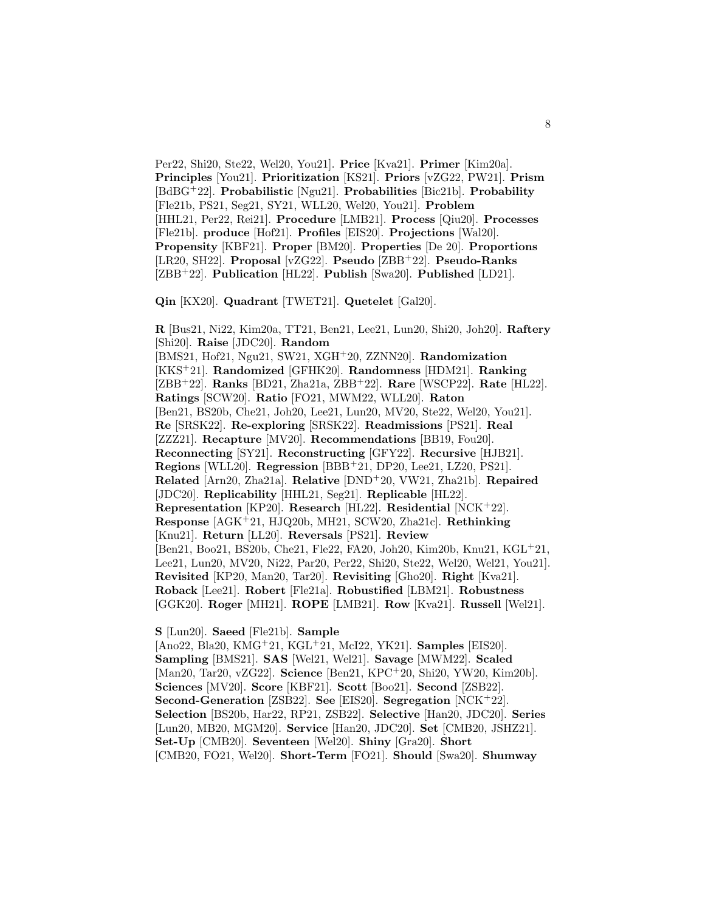Per22, Shi20, Ste22, Wel20, You21]. **Price** [Kva21]. **Primer** [Kim20a]. **Principles** [You21]. **Prioritization** [KS21]. **Priors** [vZG22, PW21]. **Prism** [BdBG<sup>+</sup>22]. **Probabilistic** [Ngu21]. **Probabilities** [Bic21b]. **Probability** [Fle21b, PS21, Seg21, SY21, WLL20, Wel20, You21]. **Problem** [HHL21, Per22, Rei21]. **Procedure** [LMB21]. **Process** [Qiu20]. **Processes** [Fle21b]. **produce** [Hof21]. **Profiles** [EIS20]. **Projections** [Wal20]. **Propensity** [KBF21]. **Proper** [BM20]. **Properties** [De 20]. **Proportions** [LR20, SH22]. **Proposal** [vZG22]. **Pseudo** [ZBB<sup>+</sup>22]. **Pseudo-Ranks** [ZBB<sup>+</sup>22]. **Publication** [HL22]. **Publish** [Swa20]. **Published** [LD21].

**Qin** [KX20]. **Quadrant** [TWET21]. **Quetelet** [Gal20].

**R** [Bus21, Ni22, Kim20a, TT21, Ben21, Lee21, Lun20, Shi20, Joh20]. **Raftery** [Shi20]. **Raise** [JDC20]. **Random** [BMS21, Hof21, Ngu21, SW21, XGH<sup>+</sup>20, ZZNN20]. **Randomization** [KKS<sup>+</sup>21]. **Randomized** [GFHK20]. **Randomness** [HDM21]. **Ranking** [ZBB<sup>+</sup>22]. **Ranks** [BD21, Zha21a, ZBB<sup>+</sup>22]. **Rare** [WSCP22]. **Rate** [HL22]. **Ratings** [SCW20]. **Ratio** [FO21, MWM22, WLL20]. **Raton** [Ben21, BS20b, Che21, Joh20, Lee21, Lun20, MV20, Ste22, Wel20, You21]. **Re** [SRSK22]. **Re-exploring** [SRSK22]. **Readmissions** [PS21]. **Real** [ZZZ21]. **Recapture** [MV20]. **Recommendations** [BB19, Fou20]. **Reconnecting** [SY21]. **Reconstructing** [GFY22]. **Recursive** [HJB21]. **Regions** [WLL20]. **Regression** [BBB<sup>+</sup>21, DP20, Lee21, LZ20, PS21]. **Related** [Arn20, Zha21a]. **Relative** [DND<sup>+</sup>20, VW21, Zha21b]. **Repaired** [JDC20]. **Replicability** [HHL21, Seg21]. **Replicable** [HL22]. **Representation** [KP20]. **Research** [HL22]. **Residential** [NCK<sup>+</sup>22]. **Response** [AGK<sup>+</sup>21, HJQ20b, MH21, SCW20, Zha21c]. **Rethinking** [Knu21]. **Return** [LL20]. **Reversals** [PS21]. **Review** [Ben21, Boo21, BS20b, Che21, Fle22, FA20, Joh20, Kim20b, Knu21, KGL<sup>+</sup>21, Lee21, Lun20, MV20, Ni22, Par20, Per22, Shi20, Ste22, Wel20, Wel21, You21]. **Revisited** [KP20, Man20, Tar20]. **Revisiting** [Gho20]. **Right** [Kva21]. **Roback** [Lee21]. **Robert** [Fle21a]. **Robustified** [LBM21]. **Robustness** [GGK20]. **Roger** [MH21]. **ROPE** [LMB21]. **Row** [Kva21]. **Russell** [Wel21].

**S** [Lun20]. **Saeed** [Fle21b]. **Sample** [Ano22, Bla20, KMG<sup>+</sup>21, KGL<sup>+</sup>21, McI22, YK21]. **Samples** [EIS20]. **Sampling** [BMS21]. **SAS** [Wel21, Wel21]. **Savage** [MWM22]. **Scaled** [Man20, Tar20, vZG22]. **Science** [Ben21, KPC<sup>+</sup>20, Shi20, YW20, Kim20b]. **Sciences** [MV20]. **Score** [KBF21]. **Scott** [Boo21]. **Second** [ZSB22]. **Second-Generation** [ZSB22]. **See** [EIS20]. **Segregation** [NCK<sup>+</sup>22]. **Selection** [BS20b, Har22, RP21, ZSB22]. **Selective** [Han20, JDC20]. **Series** [Lun20, MB20, MGM20]. **Service** [Han20, JDC20]. **Set** [CMB20, JSHZ21]. **Set-Up** [CMB20]. **Seventeen** [Wel20]. **Shiny** [Gra20]. **Short** [CMB20, FO21, Wel20]. **Short-Term** [FO21]. **Should** [Swa20]. **Shumway**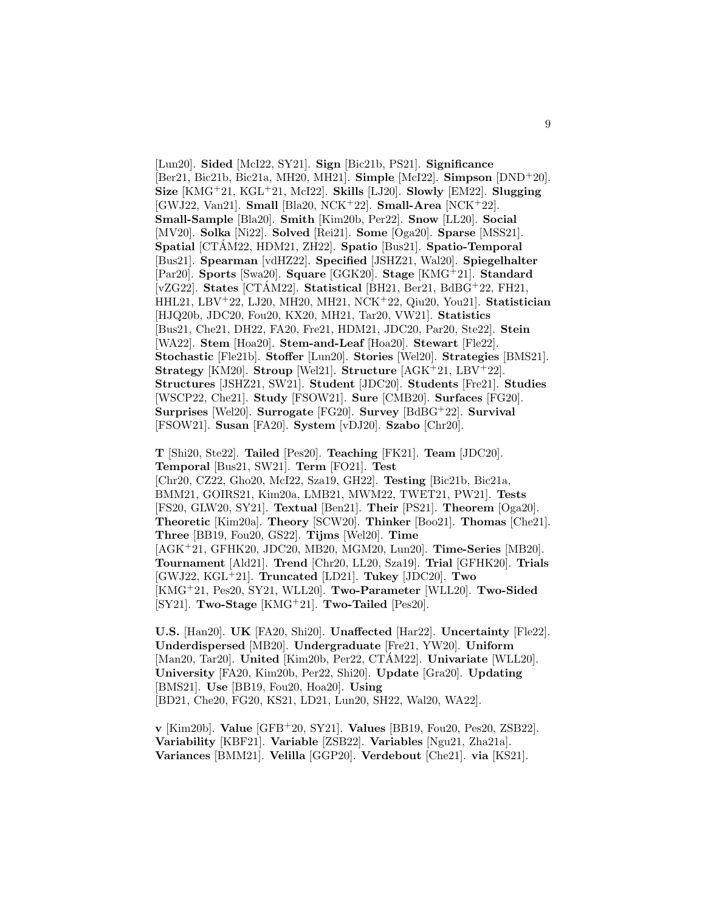[Lun20]. **Sided** [McI22, SY21]. **Sign** [Bic21b, PS21]. **Significance** [Ber21, Bic21b, Bic21a, MH20, MH21]. **Simple** [McI22]. **Simpson** [DND<sup>+</sup>20]. **Size** [KMG<sup>+</sup>21, KGL<sup>+</sup>21, McI22]. **Skills** [LJ20]. **Slowly** [EM22]. **Slugging** [GWJ22, Van21]. **Small** [Bla20, NCK<sup>+</sup>22]. **Small-Area** [NCK<sup>+</sup>22]. **Small-Sample** [Bla20]. **Smith** [Kim20b, Per22]. **Snow** [LL20]. **Social** [MV20]. **Solka** [Ni22]. **Solved** [Rei21]. **Some** [Oga20]. **Sparse** [MSS21]. **Spatial** [CTÁM22, HDM21, ZH22]. **Spatio** [Bus21]. **Spatio-Temporal** [Bus21]. **Spearman** [vdHZ22]. **Specified** [JSHZ21, Wal20]. **Spiegelhalter** [Par20]. **Sports** [Swa20]. **Square** [GGK20]. **Stage** [KMG<sup>+</sup>21]. **Standard** [vZG22]. **States** [CTÁM22]. **Statistical** [BH21, Ber21, BdBG+22, FH21, HHL21, LBV<sup>+</sup>22, LJ20, MH20, MH21, NCK<sup>+</sup>22, Qiu20, You21]. **Statistician** [HJQ20b, JDC20, Fou20, KX20, MH21, Tar20, VW21]. **Statistics** [Bus21, Che21, DH22, FA20, Fre21, HDM21, JDC20, Par20, Ste22]. **Stein** [WA22]. **Stem** [Hoa20]. **Stem-and-Leaf** [Hoa20]. **Stewart** [Fle22]. **Stochastic** [Fle21b]. **Stoffer** [Lun20]. **Stories** [Wel20]. **Strategies** [BMS21]. **Strategy** [KM20]. **Stroup** [Wel21]. **Structure** [AGK<sup>+</sup>21, LBV<sup>+</sup>22]. **Structures** [JSHZ21, SW21]. **Student** [JDC20]. **Students** [Fre21]. **Studies** [WSCP22, Che21]. **Study** [FSOW21]. **Sure** [CMB20]. **Surfaces** [FG20]. **Surprises** [Wel20]. **Surrogate** [FG20]. **Survey** [BdBG<sup>+</sup>22]. **Survival** [FSOW21]. **Susan** [FA20]. **System** [vDJ20]. **Szabo** [Chr20].

**T** [Shi20, Ste22]. **Tailed** [Pes20]. **Teaching** [FK21]. **Team** [JDC20]. **Temporal** [Bus21, SW21]. **Term** [FO21]. **Test** [Chr20, CZ22, Gho20, McI22, Sza19, GH22]. **Testing** [Bic21b, Bic21a, BMM21, GOIRS21, Kim20a, LMB21, MWM22, TWET21, PW21]. **Tests** [FS20, GLW20, SY21]. **Textual** [Ben21]. **Their** [PS21]. **Theorem** [Oga20]. **Theoretic** [Kim20a]. **Theory** [SCW20]. **Thinker** [Boo21]. **Thomas** [Che21]. **Three** [BB19, Fou20, GS22]. **Tijms** [Wel20]. **Time** [AGK<sup>+</sup>21, GFHK20, JDC20, MB20, MGM20, Lun20]. **Time-Series** [MB20]. **Tournament** [Ald21]. **Trend** [Chr20, LL20, Sza19]. **Trial** [GFHK20]. **Trials** [GWJ22, KGL<sup>+</sup>21]. **Truncated** [LD21]. **Tukey** [JDC20]. **Two** [KMG<sup>+</sup>21, Pes20, SY21, WLL20]. **Two-Parameter** [WLL20]. **Two-Sided** [SY21]. **Two-Stage** [KMG<sup>+</sup>21]. **Two-Tailed** [Pes20].

**U.S.** [Han20]. **UK** [FA20, Shi20]. **Unaffected** [Har22]. **Uncertainty** [Fle22]. **Underdispersed** [MB20]. **Undergraduate** [Fre21, YW20]. **Uniform** [Man20, Tar20]. **United** [Kim20b, Per22, CTÁM22]. **Univariate** [WLL20]. **University** [FA20, Kim20b, Per22, Shi20]. **Update** [Gra20]. **Updating** [BMS21]. **Use** [BB19, Fou20, Hoa20]. **Using** [BD21, Che20, FG20, KS21, LD21, Lun20, SH22, Wal20, WA22].

**v** [Kim20b]. **Value** [GFB<sup>+</sup>20, SY21]. **Values** [BB19, Fou20, Pes20, ZSB22]. **Variability** [KBF21]. **Variable** [ZSB22]. **Variables** [Ngu21, Zha21a]. **Variances** [BMM21]. **Velilla** [GGP20]. **Verdebout** [Che21]. **via** [KS21].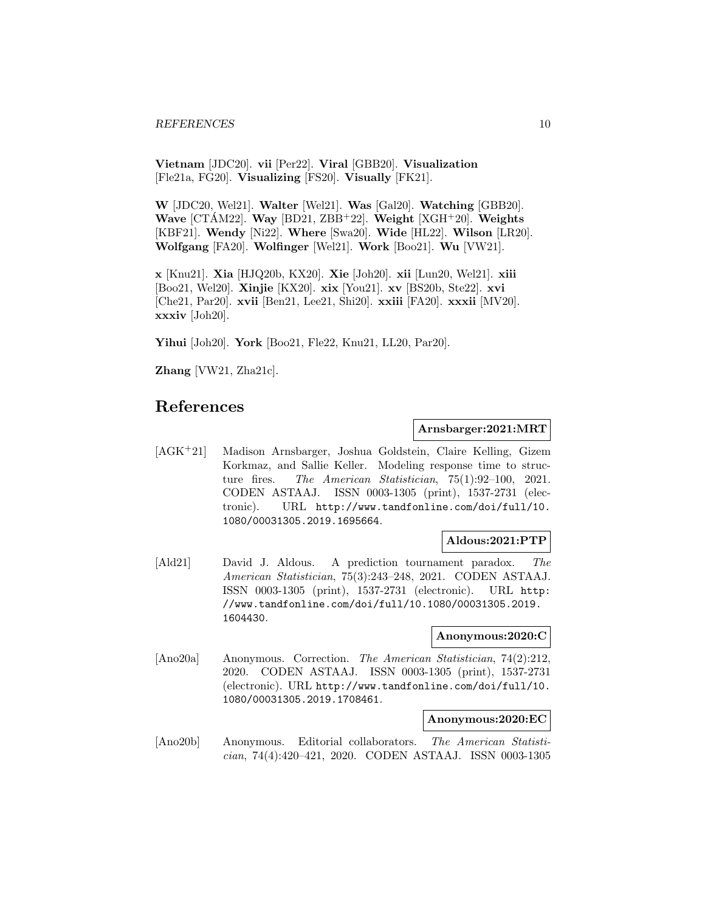**Vietnam** [JDC20]. **vii** [Per22]. **Viral** [GBB20]. **Visualization** [Fle21a, FG20]. **Visualizing** [FS20]. **Visually** [FK21].

**W** [JDC20, Wel21]. **Walter** [Wel21]. **Was** [Gal20]. **Watching** [GBB20]. **Wave** [CTÁM22]. **Way** [BD21, ZBB+22]. **Weight** [XGH+20]. **Weights** [KBF21]. **Wendy** [Ni22]. **Where** [Swa20]. **Wide** [HL22]. **Wilson** [LR20]. **Wolfgang** [FA20]. **Wolfinger** [Wel21]. **Work** [Boo21]. **Wu** [VW21].

**x** [Knu21]. **Xia** [HJQ20b, KX20]. **Xie** [Joh20]. **xii** [Lun20, Wel21]. **xiii** [Boo21, Wel20]. **Xinjie** [KX20]. **xix** [You21]. **xv** [BS20b, Ste22]. **xvi** [Che21, Par20]. **xvii** [Ben21, Lee21, Shi20]. **xxiii** [FA20]. **xxxii** [MV20]. **xxxiv** [Joh20].

**Yihui** [Joh20]. **York** [Boo21, Fle22, Knu21, LL20, Par20].

**Zhang** [VW21, Zha21c].

## **References**

#### **Arnsbarger:2021:MRT**

[AGK<sup>+</sup>21] Madison Arnsbarger, Joshua Goldstein, Claire Kelling, Gizem Korkmaz, and Sallie Keller. Modeling response time to structure fires. The American Statistician, 75(1):92-100, 2021. CODEN ASTAAJ. ISSN 0003-1305 (print), 1537-2731 (electronic). URL http://www.tandfonline.com/doi/full/10. 1080/00031305.2019.1695664.

## **Aldous:2021:PTP**

[Ald21] David J. Aldous. A prediction tournament paradox. The American Statistician, 75(3):243–248, 2021. CODEN ASTAAJ. ISSN 0003-1305 (print), 1537-2731 (electronic). URL http: //www.tandfonline.com/doi/full/10.1080/00031305.2019. 1604430.

## **Anonymous:2020:C**

[Ano20a] Anonymous. Correction. The American Statistician, 74(2):212, 2020. CODEN ASTAAJ. ISSN 0003-1305 (print), 1537-2731 (electronic). URL http://www.tandfonline.com/doi/full/10. 1080/00031305.2019.1708461.

#### **Anonymous:2020:EC**

[Ano20b] Anonymous. Editorial collaborators. The American Statistician, 74(4):420–421, 2020. CODEN ASTAAJ. ISSN 0003-1305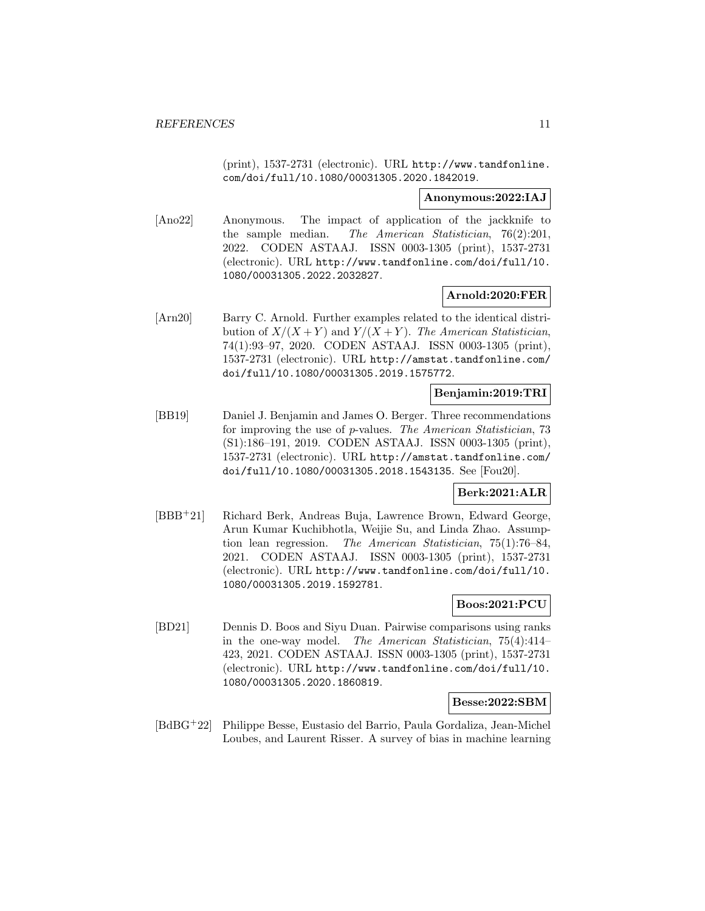(print), 1537-2731 (electronic). URL http://www.tandfonline. com/doi/full/10.1080/00031305.2020.1842019.

#### **Anonymous:2022:IAJ**

[Ano22] Anonymous. The impact of application of the jackknife to the sample median. The American Statistician, 76(2):201, 2022. CODEN ASTAAJ. ISSN 0003-1305 (print), 1537-2731 (electronic). URL http://www.tandfonline.com/doi/full/10. 1080/00031305.2022.2032827.

## **Arnold:2020:FER**

[Arn20] Barry C. Arnold. Further examples related to the identical distribution of  $X/(X+Y)$  and  $Y/(X+Y)$ . The American Statistician, 74(1):93–97, 2020. CODEN ASTAAJ. ISSN 0003-1305 (print), 1537-2731 (electronic). URL http://amstat.tandfonline.com/ doi/full/10.1080/00031305.2019.1575772.

## **Benjamin:2019:TRI**

[BB19] Daniel J. Benjamin and James O. Berger. Three recommendations for improving the use of p-values. The American Statistician, 73 (S1):186–191, 2019. CODEN ASTAAJ. ISSN 0003-1305 (print), 1537-2731 (electronic). URL http://amstat.tandfonline.com/ doi/full/10.1080/00031305.2018.1543135. See [Fou20].

## **Berk:2021:ALR**

[BBB<sup>+</sup>21] Richard Berk, Andreas Buja, Lawrence Brown, Edward George, Arun Kumar Kuchibhotla, Weijie Su, and Linda Zhao. Assumption lean regression. The American Statistician, 75(1):76–84, 2021. CODEN ASTAAJ. ISSN 0003-1305 (print), 1537-2731 (electronic). URL http://www.tandfonline.com/doi/full/10. 1080/00031305.2019.1592781.

## **Boos:2021:PCU**

[BD21] Dennis D. Boos and Siyu Duan. Pairwise comparisons using ranks in the one-way model. The American Statistician, 75(4):414– 423, 2021. CODEN ASTAAJ. ISSN 0003-1305 (print), 1537-2731 (electronic). URL http://www.tandfonline.com/doi/full/10. 1080/00031305.2020.1860819.

#### **Besse:2022:SBM**

[BdBG<sup>+</sup>22] Philippe Besse, Eustasio del Barrio, Paula Gordaliza, Jean-Michel Loubes, and Laurent Risser. A survey of bias in machine learning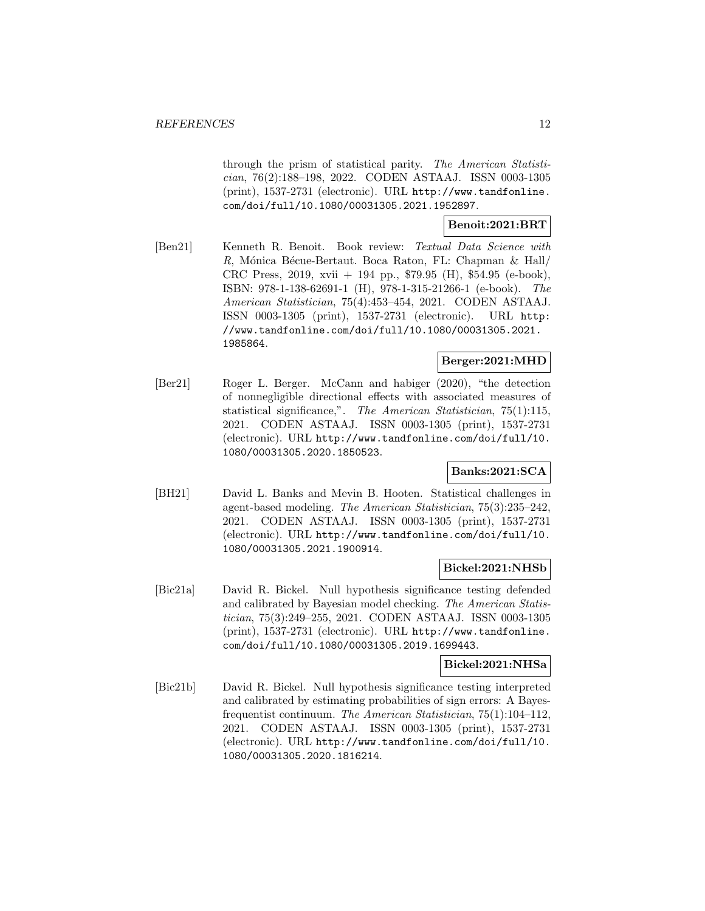through the prism of statistical parity. The American Statistician, 76(2):188–198, 2022. CODEN ASTAAJ. ISSN 0003-1305 (print), 1537-2731 (electronic). URL http://www.tandfonline. com/doi/full/10.1080/00031305.2021.1952897.

## **Benoit:2021:BRT**

[Ben21] Kenneth R. Benoit. Book review: Textual Data Science with  $R$ , Mónica Bécue-Bertaut. Boca Raton, FL: Chapman & Hall/ CRC Press, 2019, xvii + 194 pp., \$79.95 (H), \$54.95 (e-book), ISBN: 978-1-138-62691-1 (H), 978-1-315-21266-1 (e-book). The American Statistician, 75(4):453–454, 2021. CODEN ASTAAJ. ISSN 0003-1305 (print), 1537-2731 (electronic). URL http: //www.tandfonline.com/doi/full/10.1080/00031305.2021. 1985864.

## **Berger:2021:MHD**

[Ber21] Roger L. Berger. McCann and habiger (2020), "the detection of nonnegligible directional effects with associated measures of statistical significance,". The American Statistician, 75(1):115, 2021. CODEN ASTAAJ. ISSN 0003-1305 (print), 1537-2731 (electronic). URL http://www.tandfonline.com/doi/full/10. 1080/00031305.2020.1850523.

## **Banks:2021:SCA**

[BH21] David L. Banks and Mevin B. Hooten. Statistical challenges in agent-based modeling. The American Statistician, 75(3):235–242, 2021. CODEN ASTAAJ. ISSN 0003-1305 (print), 1537-2731 (electronic). URL http://www.tandfonline.com/doi/full/10. 1080/00031305.2021.1900914.

#### **Bickel:2021:NHSb**

[Bic21a] David R. Bickel. Null hypothesis significance testing defended and calibrated by Bayesian model checking. The American Statistician, 75(3):249–255, 2021. CODEN ASTAAJ. ISSN 0003-1305 (print), 1537-2731 (electronic). URL http://www.tandfonline. com/doi/full/10.1080/00031305.2019.1699443.

#### **Bickel:2021:NHSa**

[Bic21b] David R. Bickel. Null hypothesis significance testing interpreted and calibrated by estimating probabilities of sign errors: A Bayesfrequentist continuum. The American Statistician, 75(1):104–112, 2021. CODEN ASTAAJ. ISSN 0003-1305 (print), 1537-2731 (electronic). URL http://www.tandfonline.com/doi/full/10. 1080/00031305.2020.1816214.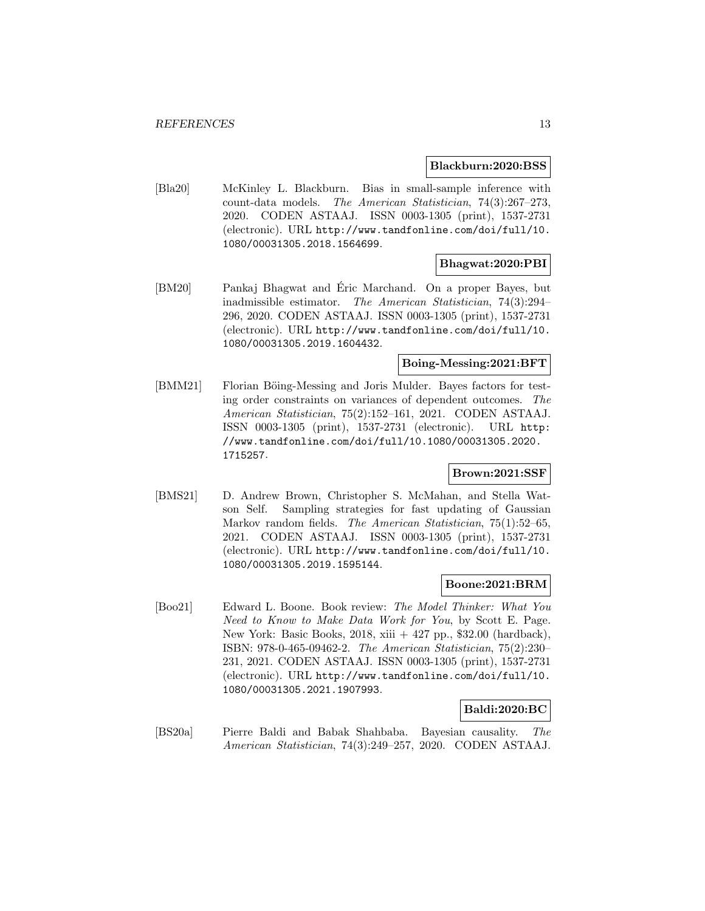#### **Blackburn:2020:BSS**

[Bla20] McKinley L. Blackburn. Bias in small-sample inference with count-data models. The American Statistician, 74(3):267–273, 2020. CODEN ASTAAJ. ISSN 0003-1305 (print), 1537-2731 (electronic). URL http://www.tandfonline.com/doi/full/10. 1080/00031305.2018.1564699.

#### **Bhagwat:2020:PBI**

[BM20] Pankaj Bhagwat and Eric Marchand. On a proper Bayes, but ´ inadmissible estimator. The American Statistician, 74(3):294– 296, 2020. CODEN ASTAAJ. ISSN 0003-1305 (print), 1537-2731 (electronic). URL http://www.tandfonline.com/doi/full/10. 1080/00031305.2019.1604432.

#### **Boing-Messing:2021:BFT**

[BMM21] Florian Böing-Messing and Joris Mulder. Bayes factors for testing order constraints on variances of dependent outcomes. The American Statistician, 75(2):152–161, 2021. CODEN ASTAAJ. ISSN 0003-1305 (print), 1537-2731 (electronic). URL http: //www.tandfonline.com/doi/full/10.1080/00031305.2020. 1715257.

#### **Brown:2021:SSF**

[BMS21] D. Andrew Brown, Christopher S. McMahan, and Stella Watson Self. Sampling strategies for fast updating of Gaussian Markov random fields. The American Statistician, 75(1):52–65, 2021. CODEN ASTAAJ. ISSN 0003-1305 (print), 1537-2731 (electronic). URL http://www.tandfonline.com/doi/full/10. 1080/00031305.2019.1595144.

#### **Boone:2021:BRM**

[Boo21] Edward L. Boone. Book review: The Model Thinker: What You Need to Know to Make Data Work for You, by Scott E. Page. New York: Basic Books, 2018, xiii + 427 pp., \$32.00 (hardback), ISBN: 978-0-465-09462-2. The American Statistician, 75(2):230– 231, 2021. CODEN ASTAAJ. ISSN 0003-1305 (print), 1537-2731 (electronic). URL http://www.tandfonline.com/doi/full/10. 1080/00031305.2021.1907993.

#### **Baldi:2020:BC**

[BS20a] Pierre Baldi and Babak Shahbaba. Bayesian causality. The American Statistician, 74(3):249–257, 2020. CODEN ASTAAJ.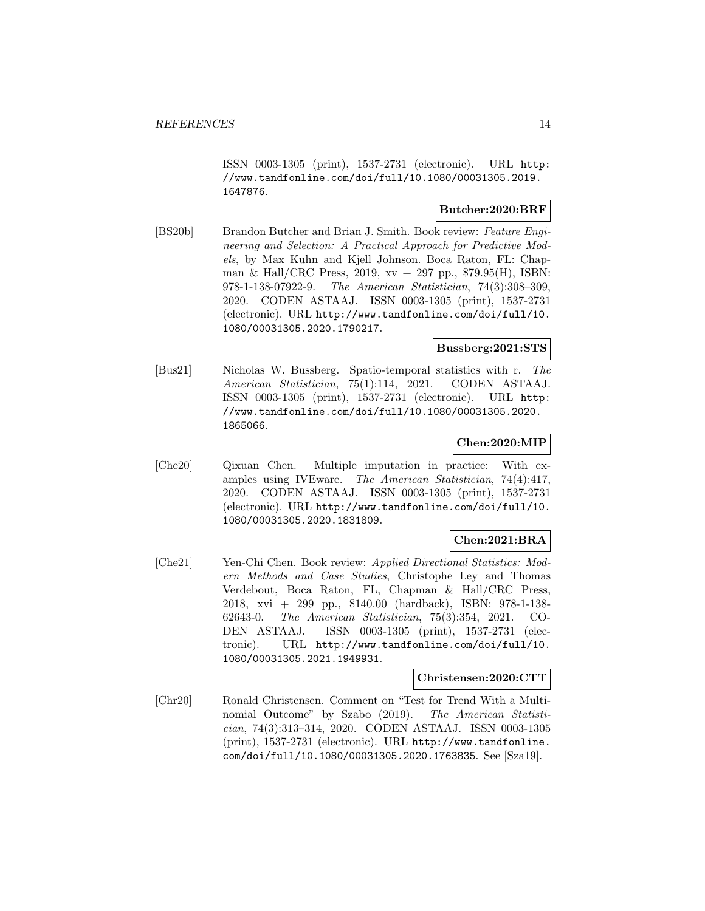ISSN 0003-1305 (print), 1537-2731 (electronic). URL http: //www.tandfonline.com/doi/full/10.1080/00031305.2019. 1647876.

## **Butcher:2020:BRF**

[BS20b] Brandon Butcher and Brian J. Smith. Book review: Feature Engineering and Selection: A Practical Approach for Predictive Models, by Max Kuhn and Kjell Johnson. Boca Raton, FL: Chapman & Hall/CRC Press, 2019, xv + 297 pp., \$79.95(H), ISBN: 978-1-138-07922-9. The American Statistician, 74(3):308–309, 2020. CODEN ASTAAJ. ISSN 0003-1305 (print), 1537-2731 (electronic). URL http://www.tandfonline.com/doi/full/10. 1080/00031305.2020.1790217.

## **Bussberg:2021:STS**

[Bus21] Nicholas W. Bussberg. Spatio-temporal statistics with r. The American Statistician, 75(1):114, 2021. CODEN ASTAAJ. ISSN 0003-1305 (print), 1537-2731 (electronic). URL http: //www.tandfonline.com/doi/full/10.1080/00031305.2020. 1865066.

## **Chen:2020:MIP**

[Che20] Qixuan Chen. Multiple imputation in practice: With examples using IVEware. The American Statistician, 74(4):417, 2020. CODEN ASTAAJ. ISSN 0003-1305 (print), 1537-2731 (electronic). URL http://www.tandfonline.com/doi/full/10. 1080/00031305.2020.1831809.

## **Chen:2021:BRA**

[Che21] Yen-Chi Chen. Book review: Applied Directional Statistics: Modern Methods and Case Studies, Christophe Ley and Thomas Verdebout, Boca Raton, FL, Chapman & Hall/CRC Press, 2018, xvi + 299 pp., \$140.00 (hardback), ISBN: 978-1-138- 62643-0. The American Statistician, 75(3):354, 2021. CO-DEN ASTAAJ. ISSN 0003-1305 (print), 1537-2731 (electronic). URL http://www.tandfonline.com/doi/full/10. 1080/00031305.2021.1949931.

#### **Christensen:2020:CTT**

[Chr20] Ronald Christensen. Comment on "Test for Trend With a Multinomial Outcome" by Szabo (2019). The American Statistician, 74(3):313–314, 2020. CODEN ASTAAJ. ISSN 0003-1305 (print), 1537-2731 (electronic). URL http://www.tandfonline. com/doi/full/10.1080/00031305.2020.1763835. See [Sza19].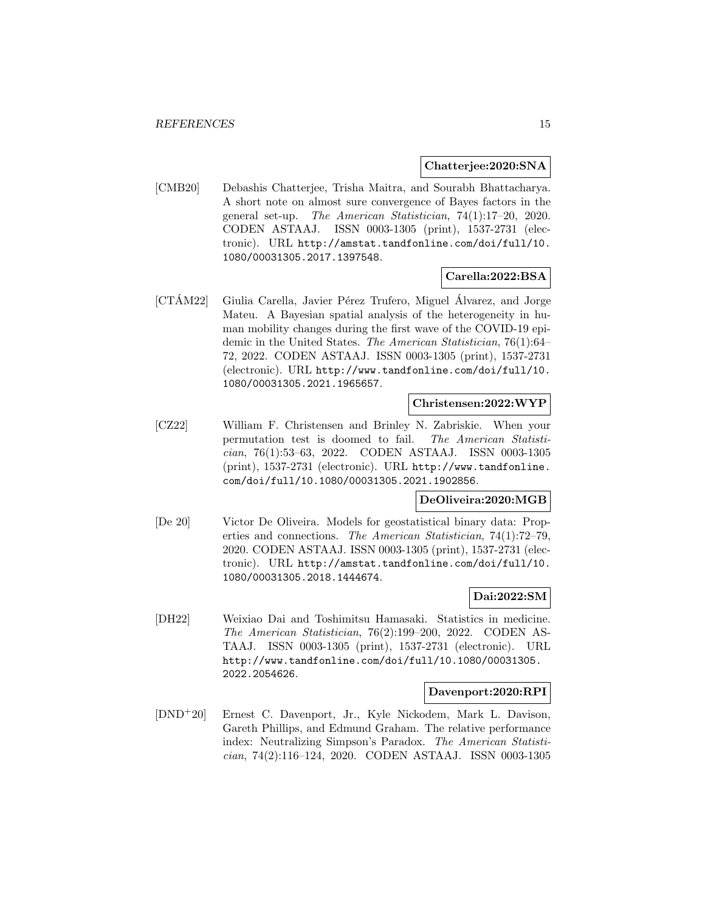#### **Chatterjee:2020:SNA**

[CMB20] Debashis Chatterjee, Trisha Maitra, and Sourabh Bhattacharya. A short note on almost sure convergence of Bayes factors in the general set-up. The American Statistician, 74(1):17–20, 2020. CODEN ASTAAJ. ISSN 0003-1305 (print), 1537-2731 (electronic). URL http://amstat.tandfonline.com/doi/full/10. 1080/00031305.2017.1397548.

#### **Carella:2022:BSA**

[CTAM22] Giulia Carella, Javier Pérez Trufero, Miguel Alvarez, and Jorge Mateu. A Bayesian spatial analysis of the heterogeneity in human mobility changes during the first wave of the COVID-19 epidemic in the United States. The American Statistician, 76(1):64– 72, 2022. CODEN ASTAAJ. ISSN 0003-1305 (print), 1537-2731 (electronic). URL http://www.tandfonline.com/doi/full/10. 1080/00031305.2021.1965657.

## **Christensen:2022:WYP**

[CZ22] William F. Christensen and Brinley N. Zabriskie. When your permutation test is doomed to fail. The American Statistician, 76(1):53–63, 2022. CODEN ASTAAJ. ISSN 0003-1305 (print), 1537-2731 (electronic). URL http://www.tandfonline. com/doi/full/10.1080/00031305.2021.1902856.

#### **DeOliveira:2020:MGB**

[De 20] Victor De Oliveira. Models for geostatistical binary data: Properties and connections. The American Statistician, 74(1):72–79, 2020. CODEN ASTAAJ. ISSN 0003-1305 (print), 1537-2731 (electronic). URL http://amstat.tandfonline.com/doi/full/10. 1080/00031305.2018.1444674.

### **Dai:2022:SM**

[DH22] Weixiao Dai and Toshimitsu Hamasaki. Statistics in medicine. The American Statistician, 76(2):199–200, 2022. CODEN AS-TAAJ. ISSN 0003-1305 (print), 1537-2731 (electronic). URL http://www.tandfonline.com/doi/full/10.1080/00031305. 2022.2054626.

#### **Davenport:2020:RPI**

[DND<sup>+</sup>20] Ernest C. Davenport, Jr., Kyle Nickodem, Mark L. Davison, Gareth Phillips, and Edmund Graham. The relative performance index: Neutralizing Simpson's Paradox. The American Statistician, 74(2):116–124, 2020. CODEN ASTAAJ. ISSN 0003-1305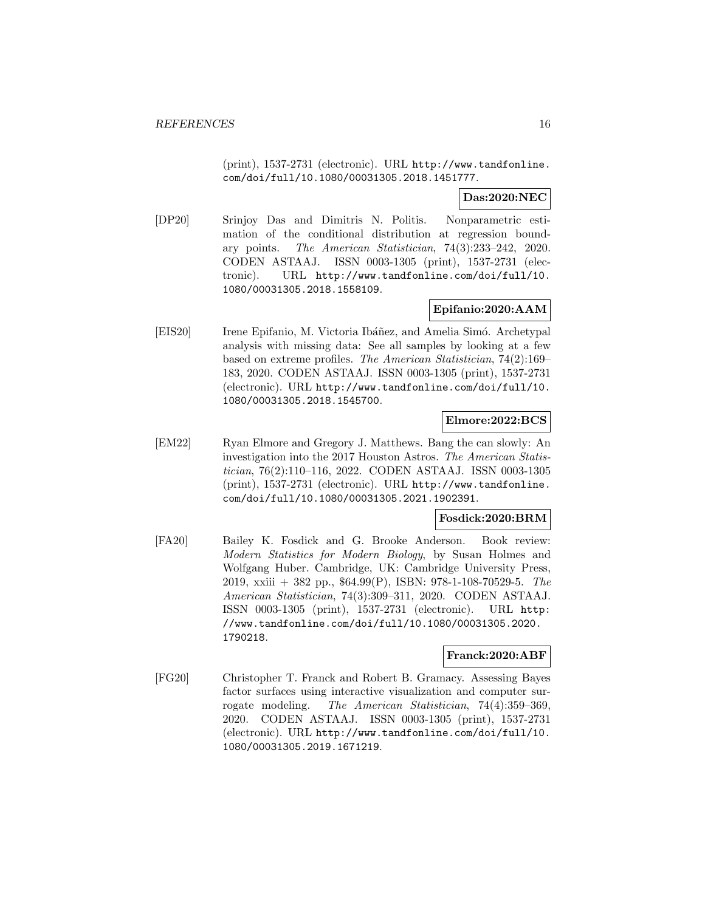(print), 1537-2731 (electronic). URL http://www.tandfonline. com/doi/full/10.1080/00031305.2018.1451777.

## **Das:2020:NEC**

[DP20] Srinjoy Das and Dimitris N. Politis. Nonparametric estimation of the conditional distribution at regression boundary points. The American Statistician, 74(3):233–242, 2020. CODEN ASTAAJ. ISSN 0003-1305 (print), 1537-2731 (electronic). URL http://www.tandfonline.com/doi/full/10. 1080/00031305.2018.1558109.

## **Epifanio:2020:AAM**

[EIS20] Irene Epifanio, M. Victoria Ibáñez, and Amelia Simó. Archetypal analysis with missing data: See all samples by looking at a few based on extreme profiles. The American Statistician, 74(2):169– 183, 2020. CODEN ASTAAJ. ISSN 0003-1305 (print), 1537-2731 (electronic). URL http://www.tandfonline.com/doi/full/10. 1080/00031305.2018.1545700.

## **Elmore:2022:BCS**

[EM22] Ryan Elmore and Gregory J. Matthews. Bang the can slowly: An investigation into the 2017 Houston Astros. The American Statistician, 76(2):110–116, 2022. CODEN ASTAAJ. ISSN 0003-1305 (print), 1537-2731 (electronic). URL http://www.tandfonline. com/doi/full/10.1080/00031305.2021.1902391.

#### **Fosdick:2020:BRM**

[FA20] Bailey K. Fosdick and G. Brooke Anderson. Book review: Modern Statistics for Modern Biology, by Susan Holmes and Wolfgang Huber. Cambridge, UK: Cambridge University Press, 2019, xxiii + 382 pp.,  $$64.99(P)$ , ISBN: 978-1-108-70529-5. The American Statistician, 74(3):309–311, 2020. CODEN ASTAAJ. ISSN 0003-1305 (print), 1537-2731 (electronic). URL http: //www.tandfonline.com/doi/full/10.1080/00031305.2020. 1790218.

## **Franck:2020:ABF**

[FG20] Christopher T. Franck and Robert B. Gramacy. Assessing Bayes factor surfaces using interactive visualization and computer surrogate modeling. The American Statistician, 74(4):359–369, 2020. CODEN ASTAAJ. ISSN 0003-1305 (print), 1537-2731 (electronic). URL http://www.tandfonline.com/doi/full/10. 1080/00031305.2019.1671219.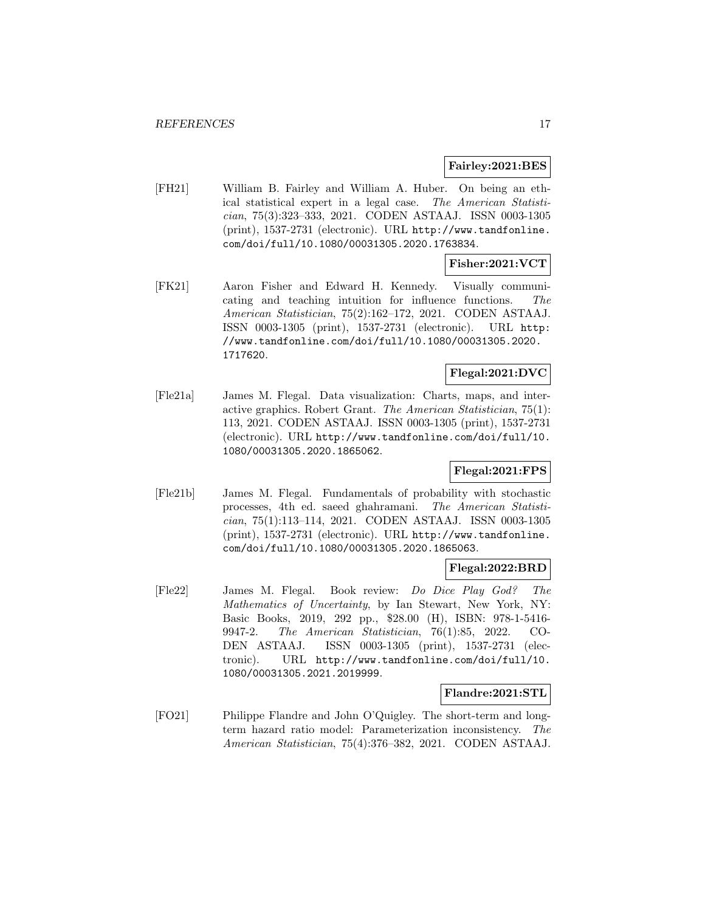#### **Fairley:2021:BES**

[FH21] William B. Fairley and William A. Huber. On being an ethical statistical expert in a legal case. The American Statistician, 75(3):323–333, 2021. CODEN ASTAAJ. ISSN 0003-1305 (print), 1537-2731 (electronic). URL http://www.tandfonline. com/doi/full/10.1080/00031305.2020.1763834.

## **Fisher:2021:VCT**

[FK21] Aaron Fisher and Edward H. Kennedy. Visually communicating and teaching intuition for influence functions. The American Statistician, 75(2):162–172, 2021. CODEN ASTAAJ. ISSN 0003-1305 (print), 1537-2731 (electronic). URL http: //www.tandfonline.com/doi/full/10.1080/00031305.2020. 1717620.

## **Flegal:2021:DVC**

[Fle21a] James M. Flegal. Data visualization: Charts, maps, and interactive graphics. Robert Grant. The American Statistician, 75(1): 113, 2021. CODEN ASTAAJ. ISSN 0003-1305 (print), 1537-2731 (electronic). URL http://www.tandfonline.com/doi/full/10. 1080/00031305.2020.1865062.

## **Flegal:2021:FPS**

[Fle21b] James M. Flegal. Fundamentals of probability with stochastic processes, 4th ed. saeed ghahramani. The American Statistician, 75(1):113–114, 2021. CODEN ASTAAJ. ISSN 0003-1305 (print), 1537-2731 (electronic). URL http://www.tandfonline. com/doi/full/10.1080/00031305.2020.1865063.

## **Flegal:2022:BRD**

[Fle22] James M. Flegal. Book review: Do Dice Play God? The Mathematics of Uncertainty, by Ian Stewart, New York, NY: Basic Books, 2019, 292 pp., \$28.00 (H), ISBN: 978-1-5416- 9947-2. The American Statistician, 76(1):85, 2022. CO-DEN ASTAAJ. ISSN 0003-1305 (print), 1537-2731 (electronic). URL http://www.tandfonline.com/doi/full/10. 1080/00031305.2021.2019999.

## **Flandre:2021:STL**

[FO21] Philippe Flandre and John O'Quigley. The short-term and longterm hazard ratio model: Parameterization inconsistency. The American Statistician, 75(4):376–382, 2021. CODEN ASTAAJ.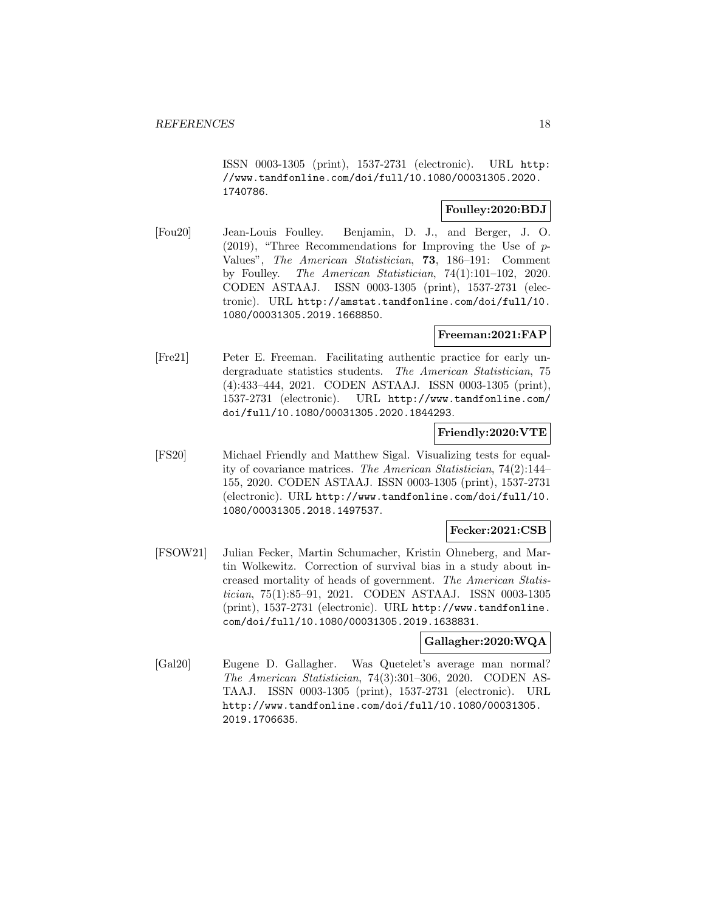ISSN 0003-1305 (print), 1537-2731 (electronic). URL http: //www.tandfonline.com/doi/full/10.1080/00031305.2020. 1740786.

## **Foulley:2020:BDJ**

[Fou20] Jean-Louis Foulley. Benjamin, D. J., and Berger, J. O. (2019), "Three Recommendations for Improving the Use of p-Values", The American Statistician, **73**, 186–191: Comment by Foulley. The American Statistician, 74(1):101–102, 2020. CODEN ASTAAJ. ISSN 0003-1305 (print), 1537-2731 (electronic). URL http://amstat.tandfonline.com/doi/full/10. 1080/00031305.2019.1668850.

#### **Freeman:2021:FAP**

[Fre21] Peter E. Freeman. Facilitating authentic practice for early undergraduate statistics students. The American Statistician, 75 (4):433–444, 2021. CODEN ASTAAJ. ISSN 0003-1305 (print), 1537-2731 (electronic). URL http://www.tandfonline.com/ doi/full/10.1080/00031305.2020.1844293.

#### **Friendly:2020:VTE**

[FS20] Michael Friendly and Matthew Sigal. Visualizing tests for equality of covariance matrices. The American Statistician, 74(2):144– 155, 2020. CODEN ASTAAJ. ISSN 0003-1305 (print), 1537-2731 (electronic). URL http://www.tandfonline.com/doi/full/10. 1080/00031305.2018.1497537.

## **Fecker:2021:CSB**

[FSOW21] Julian Fecker, Martin Schumacher, Kristin Ohneberg, and Martin Wolkewitz. Correction of survival bias in a study about increased mortality of heads of government. The American Statistician, 75(1):85–91, 2021. CODEN ASTAAJ. ISSN 0003-1305 (print), 1537-2731 (electronic). URL http://www.tandfonline. com/doi/full/10.1080/00031305.2019.1638831.

#### **Gallagher:2020:WQA**

[Gal20] Eugene D. Gallagher. Was Quetelet's average man normal? The American Statistician, 74(3):301–306, 2020. CODEN AS-TAAJ. ISSN 0003-1305 (print), 1537-2731 (electronic). URL http://www.tandfonline.com/doi/full/10.1080/00031305. 2019.1706635.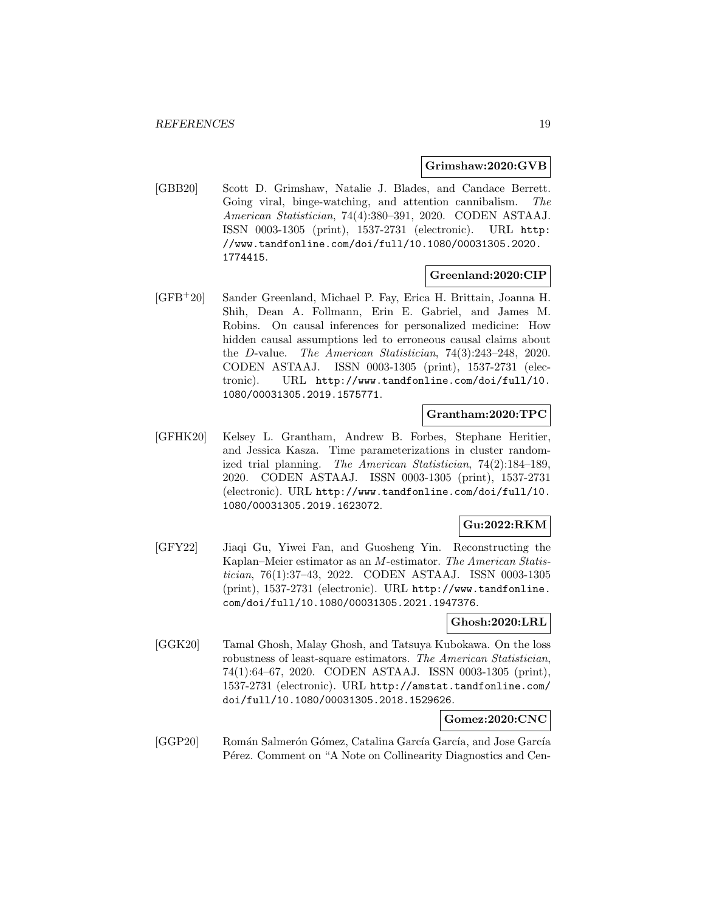#### **Grimshaw:2020:GVB**

[GBB20] Scott D. Grimshaw, Natalie J. Blades, and Candace Berrett. Going viral, binge-watching, and attention cannibalism. The American Statistician, 74(4):380–391, 2020. CODEN ASTAAJ. ISSN 0003-1305 (print), 1537-2731 (electronic). URL http: //www.tandfonline.com/doi/full/10.1080/00031305.2020. 1774415.

#### **Greenland:2020:CIP**

[GFB<sup>+</sup>20] Sander Greenland, Michael P. Fay, Erica H. Brittain, Joanna H. Shih, Dean A. Follmann, Erin E. Gabriel, and James M. Robins. On causal inferences for personalized medicine: How hidden causal assumptions led to erroneous causal claims about the D-value. The American Statistician, 74(3):243–248, 2020. CODEN ASTAAJ. ISSN 0003-1305 (print), 1537-2731 (electronic). URL http://www.tandfonline.com/doi/full/10. 1080/00031305.2019.1575771.

#### **Grantham:2020:TPC**

[GFHK20] Kelsey L. Grantham, Andrew B. Forbes, Stephane Heritier, and Jessica Kasza. Time parameterizations in cluster randomized trial planning. The American Statistician, 74(2):184–189, 2020. CODEN ASTAAJ. ISSN 0003-1305 (print), 1537-2731 (electronic). URL http://www.tandfonline.com/doi/full/10. 1080/00031305.2019.1623072.

## **Gu:2022:RKM**

[GFY22] Jiaqi Gu, Yiwei Fan, and Guosheng Yin. Reconstructing the Kaplan–Meier estimator as an M-estimator. The American Statistician, 76(1):37–43, 2022. CODEN ASTAAJ. ISSN 0003-1305 (print), 1537-2731 (electronic). URL http://www.tandfonline. com/doi/full/10.1080/00031305.2021.1947376.

#### **Ghosh:2020:LRL**

[GGK20] Tamal Ghosh, Malay Ghosh, and Tatsuya Kubokawa. On the loss robustness of least-square estimators. The American Statistician, 74(1):64–67, 2020. CODEN ASTAAJ. ISSN 0003-1305 (print), 1537-2731 (electronic). URL http://amstat.tandfonline.com/ doi/full/10.1080/00031305.2018.1529626.

#### **Gomez:2020:CNC**

[GGP20] Román Salmerón Gómez, Catalina García García, and Jose García P<sub>e</sub>rez. Comment on "A Note on Collinearity Diagnostics and Cen-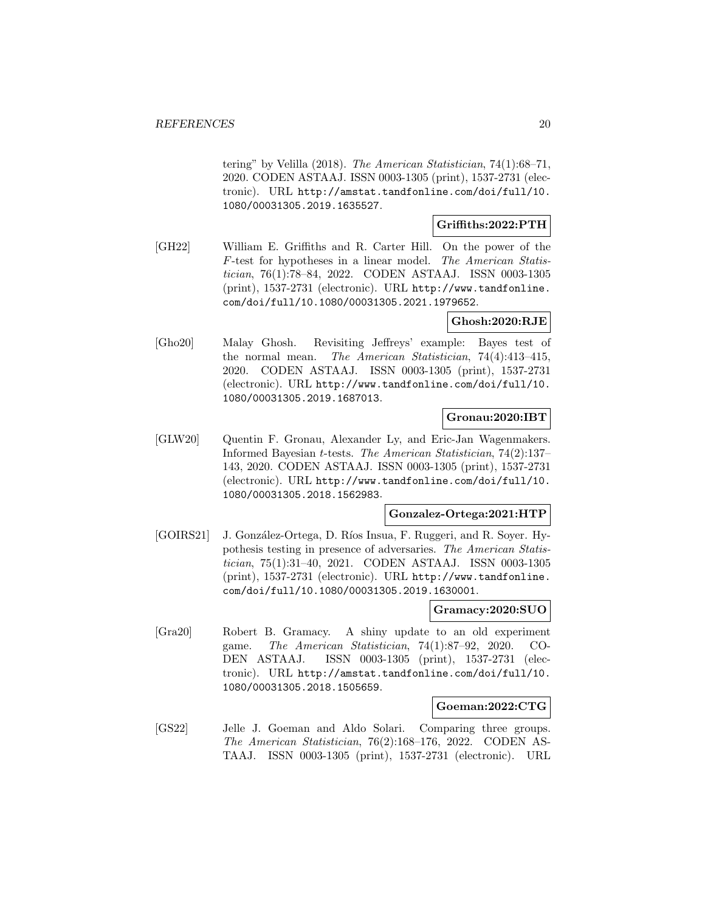tering" by Velilla (2018). The American Statistician, 74(1):68–71, 2020. CODEN ASTAAJ. ISSN 0003-1305 (print), 1537-2731 (electronic). URL http://amstat.tandfonline.com/doi/full/10. 1080/00031305.2019.1635527.

## **Griffiths:2022:PTH**

[GH22] William E. Griffiths and R. Carter Hill. On the power of the F-test for hypotheses in a linear model. The American Statistician, 76(1):78–84, 2022. CODEN ASTAAJ. ISSN 0003-1305 (print), 1537-2731 (electronic). URL http://www.tandfonline. com/doi/full/10.1080/00031305.2021.1979652.

#### **Ghosh:2020:RJE**

[Gho20] Malay Ghosh. Revisiting Jeffreys' example: Bayes test of the normal mean. The American Statistician, 74(4):413–415, 2020. CODEN ASTAAJ. ISSN 0003-1305 (print), 1537-2731 (electronic). URL http://www.tandfonline.com/doi/full/10. 1080/00031305.2019.1687013.

## **Gronau:2020:IBT**

[GLW20] Quentin F. Gronau, Alexander Ly, and Eric-Jan Wagenmakers. Informed Bayesian t-tests. The American Statistician, 74(2):137– 143, 2020. CODEN ASTAAJ. ISSN 0003-1305 (print), 1537-2731 (electronic). URL http://www.tandfonline.com/doi/full/10. 1080/00031305.2018.1562983.

## **Gonzalez-Ortega:2021:HTP**

[GOIRS21] J. González-Ortega, D. Ríos Insua, F. Ruggeri, and R. Soyer. Hypothesis testing in presence of adversaries. The American Statistician, 75(1):31–40, 2021. CODEN ASTAAJ. ISSN 0003-1305 (print), 1537-2731 (electronic). URL http://www.tandfonline. com/doi/full/10.1080/00031305.2019.1630001.

#### **Gramacy:2020:SUO**

[Gra20] Robert B. Gramacy. A shiny update to an old experiment game. The American Statistician, 74(1):87–92, 2020. CO-DEN ASTAAJ. ISSN 0003-1305 (print), 1537-2731 (electronic). URL http://amstat.tandfonline.com/doi/full/10. 1080/00031305.2018.1505659.

#### **Goeman:2022:CTG**

[GS22] Jelle J. Goeman and Aldo Solari. Comparing three groups. The American Statistician, 76(2):168–176, 2022. CODEN AS-TAAJ. ISSN 0003-1305 (print), 1537-2731 (electronic). URL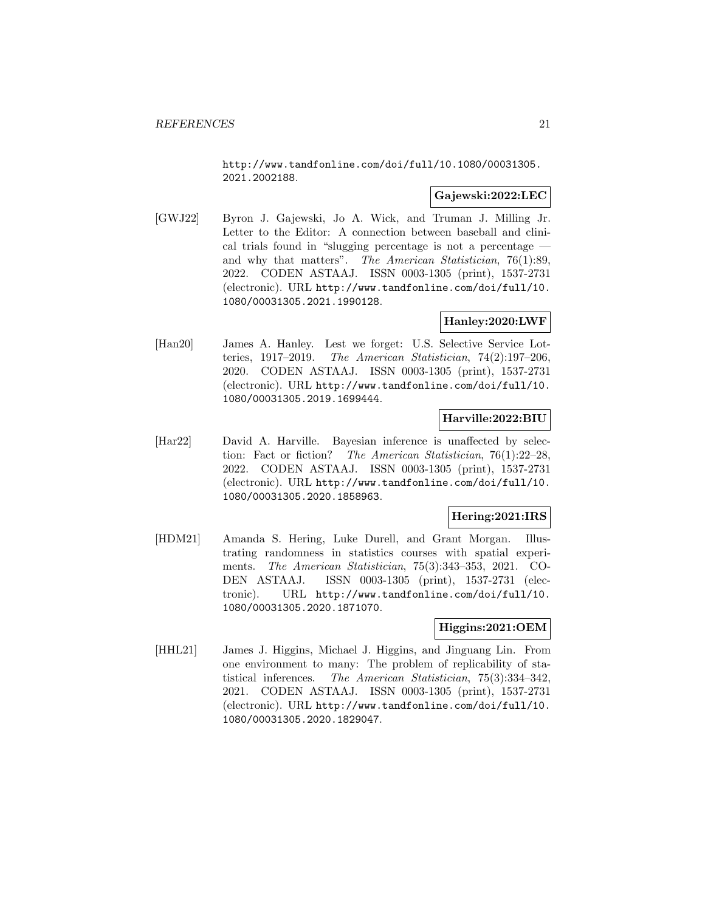http://www.tandfonline.com/doi/full/10.1080/00031305. 2021.2002188.

#### **Gajewski:2022:LEC**

[GWJ22] Byron J. Gajewski, Jo A. Wick, and Truman J. Milling Jr. Letter to the Editor: A connection between baseball and clinical trials found in "slugging percentage is not a percentage and why that matters". The American Statistician, 76(1):89, 2022. CODEN ASTAAJ. ISSN 0003-1305 (print), 1537-2731 (electronic). URL http://www.tandfonline.com/doi/full/10. 1080/00031305.2021.1990128.

#### **Hanley:2020:LWF**

[Han20] James A. Hanley. Lest we forget: U.S. Selective Service Lotteries, 1917–2019. The American Statistician, 74(2):197–206, 2020. CODEN ASTAAJ. ISSN 0003-1305 (print), 1537-2731 (electronic). URL http://www.tandfonline.com/doi/full/10. 1080/00031305.2019.1699444.

### **Harville:2022:BIU**

[Har22] David A. Harville. Bayesian inference is unaffected by selection: Fact or fiction? The American Statistician, 76(1):22–28, 2022. CODEN ASTAAJ. ISSN 0003-1305 (print), 1537-2731 (electronic). URL http://www.tandfonline.com/doi/full/10. 1080/00031305.2020.1858963.

## **Hering:2021:IRS**

[HDM21] Amanda S. Hering, Luke Durell, and Grant Morgan. Illustrating randomness in statistics courses with spatial experiments. The American Statistician, 75(3):343–353, 2021. CO-DEN ASTAAJ. ISSN 0003-1305 (print), 1537-2731 (electronic). URL http://www.tandfonline.com/doi/full/10. 1080/00031305.2020.1871070.

#### **Higgins:2021:OEM**

[HHL21] James J. Higgins, Michael J. Higgins, and Jinguang Lin. From one environment to many: The problem of replicability of statistical inferences. The American Statistician, 75(3):334–342, 2021. CODEN ASTAAJ. ISSN 0003-1305 (print), 1537-2731 (electronic). URL http://www.tandfonline.com/doi/full/10. 1080/00031305.2020.1829047.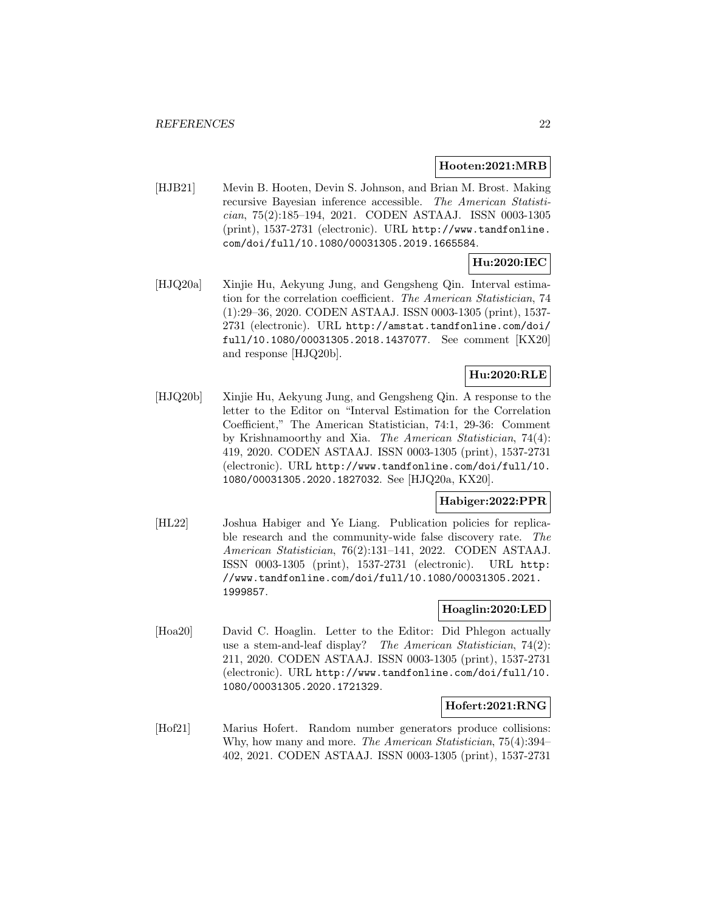#### **Hooten:2021:MRB**

[HJB21] Mevin B. Hooten, Devin S. Johnson, and Brian M. Brost. Making recursive Bayesian inference accessible. The American Statistician, 75(2):185–194, 2021. CODEN ASTAAJ. ISSN 0003-1305 (print), 1537-2731 (electronic). URL http://www.tandfonline. com/doi/full/10.1080/00031305.2019.1665584.

## **Hu:2020:IEC**

[HJQ20a] Xinjie Hu, Aekyung Jung, and Gengsheng Qin. Interval estimation for the correlation coefficient. The American Statistician, 74 (1):29–36, 2020. CODEN ASTAAJ. ISSN 0003-1305 (print), 1537- 2731 (electronic). URL http://amstat.tandfonline.com/doi/ full/10.1080/00031305.2018.1437077. See comment [KX20] and response [HJQ20b].

## **Hu:2020:RLE**

[HJQ20b] Xinjie Hu, Aekyung Jung, and Gengsheng Qin. A response to the letter to the Editor on "Interval Estimation for the Correlation Coefficient," The American Statistician, 74:1, 29-36: Comment by Krishnamoorthy and Xia. The American Statistician, 74(4): 419, 2020. CODEN ASTAAJ. ISSN 0003-1305 (print), 1537-2731 (electronic). URL http://www.tandfonline.com/doi/full/10. 1080/00031305.2020.1827032. See [HJQ20a, KX20].

#### **Habiger:2022:PPR**

[HL22] Joshua Habiger and Ye Liang. Publication policies for replicable research and the community-wide false discovery rate. The American Statistician, 76(2):131–141, 2022. CODEN ASTAAJ. ISSN 0003-1305 (print), 1537-2731 (electronic). URL http: //www.tandfonline.com/doi/full/10.1080/00031305.2021. 1999857.

#### **Hoaglin:2020:LED**

[Hoa20] David C. Hoaglin. Letter to the Editor: Did Phlegon actually use a stem-and-leaf display? The American Statistician, 74(2): 211, 2020. CODEN ASTAAJ. ISSN 0003-1305 (print), 1537-2731 (electronic). URL http://www.tandfonline.com/doi/full/10. 1080/00031305.2020.1721329.

#### **Hofert:2021:RNG**

[Hof21] Marius Hofert. Random number generators produce collisions: Why, how many and more. The American Statistician, 75(4):394– 402, 2021. CODEN ASTAAJ. ISSN 0003-1305 (print), 1537-2731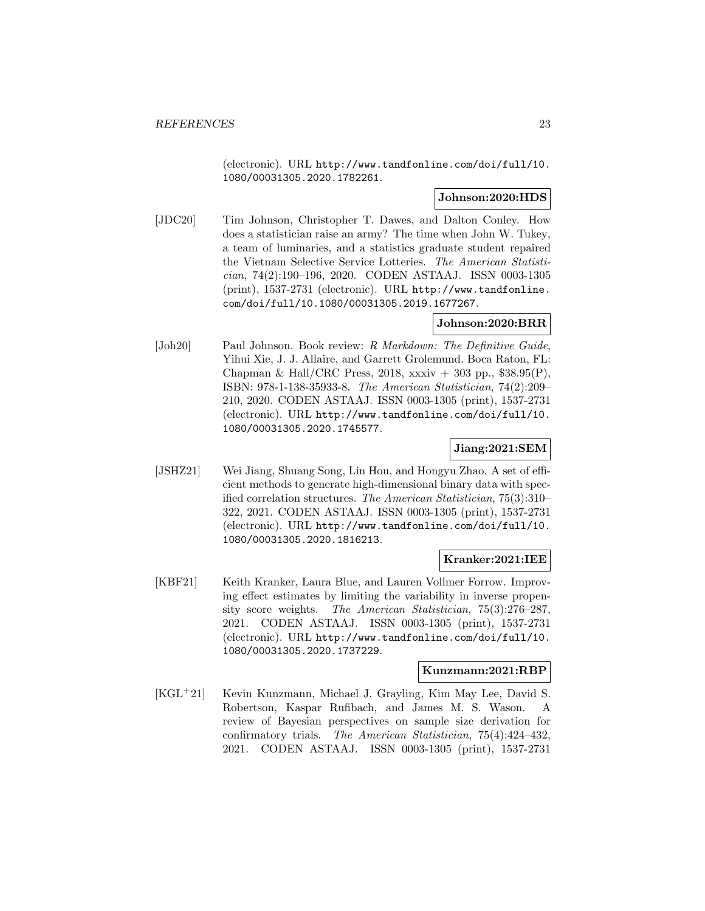(electronic). URL http://www.tandfonline.com/doi/full/10. 1080/00031305.2020.1782261.

#### **Johnson:2020:HDS**

[JDC20] Tim Johnson, Christopher T. Dawes, and Dalton Conley. How does a statistician raise an army? The time when John W. Tukey, a team of luminaries, and a statistics graduate student repaired the Vietnam Selective Service Lotteries. The American Statistician, 74(2):190–196, 2020. CODEN ASTAAJ. ISSN 0003-1305 (print), 1537-2731 (electronic). URL http://www.tandfonline. com/doi/full/10.1080/00031305.2019.1677267.

## **Johnson:2020:BRR**

[Joh20] Paul Johnson. Book review: R Markdown: The Definitive Guide, Yihui Xie, J. J. Allaire, and Garrett Grolemund. Boca Raton, FL: Chapman & Hall/CRC Press, 2018, xxxiv + 303 pp.,  $$38.95(P)$ , ISBN: 978-1-138-35933-8. The American Statistician, 74(2):209– 210, 2020. CODEN ASTAAJ. ISSN 0003-1305 (print), 1537-2731 (electronic). URL http://www.tandfonline.com/doi/full/10. 1080/00031305.2020.1745577.

#### **Jiang:2021:SEM**

[JSHZ21] Wei Jiang, Shuang Song, Lin Hou, and Hongyu Zhao. A set of efficient methods to generate high-dimensional binary data with specified correlation structures. The American Statistician, 75(3):310– 322, 2021. CODEN ASTAAJ. ISSN 0003-1305 (print), 1537-2731 (electronic). URL http://www.tandfonline.com/doi/full/10. 1080/00031305.2020.1816213.

#### **Kranker:2021:IEE**

[KBF21] Keith Kranker, Laura Blue, and Lauren Vollmer Forrow. Improving effect estimates by limiting the variability in inverse propensity score weights. The American Statistician, 75(3):276–287, 2021. CODEN ASTAAJ. ISSN 0003-1305 (print), 1537-2731 (electronic). URL http://www.tandfonline.com/doi/full/10. 1080/00031305.2020.1737229.

#### **Kunzmann:2021:RBP**

[KGL<sup>+</sup>21] Kevin Kunzmann, Michael J. Grayling, Kim May Lee, David S. Robertson, Kaspar Rufibach, and James M. S. Wason. A review of Bayesian perspectives on sample size derivation for confirmatory trials. The American Statistician, 75(4):424–432, 2021. CODEN ASTAAJ. ISSN 0003-1305 (print), 1537-2731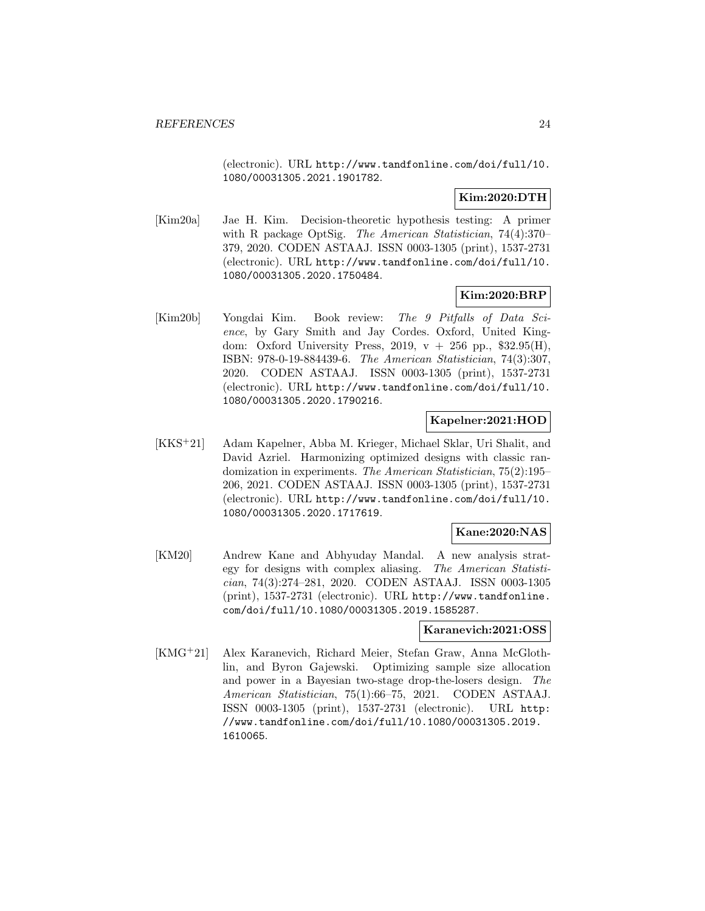(electronic). URL http://www.tandfonline.com/doi/full/10. 1080/00031305.2021.1901782.

#### **Kim:2020:DTH**

[Kim20a] Jae H. Kim. Decision-theoretic hypothesis testing: A primer with R package OptSig. The American Statistician, 74(4):370– 379, 2020. CODEN ASTAAJ. ISSN 0003-1305 (print), 1537-2731 (electronic). URL http://www.tandfonline.com/doi/full/10. 1080/00031305.2020.1750484.

#### **Kim:2020:BRP**

[Kim20b] Yongdai Kim. Book review: The 9 Pitfalls of Data Science, by Gary Smith and Jay Cordes. Oxford, United Kingdom: Oxford University Press, 2019,  $v + 256$  pp., \$32.95(H), ISBN: 978-0-19-884439-6. The American Statistician, 74(3):307, 2020. CODEN ASTAAJ. ISSN 0003-1305 (print), 1537-2731 (electronic). URL http://www.tandfonline.com/doi/full/10. 1080/00031305.2020.1790216.

#### **Kapelner:2021:HOD**

[KKS<sup>+</sup>21] Adam Kapelner, Abba M. Krieger, Michael Sklar, Uri Shalit, and David Azriel. Harmonizing optimized designs with classic randomization in experiments. The American Statistician, 75(2):195– 206, 2021. CODEN ASTAAJ. ISSN 0003-1305 (print), 1537-2731 (electronic). URL http://www.tandfonline.com/doi/full/10. 1080/00031305.2020.1717619.

## **Kane:2020:NAS**

[KM20] Andrew Kane and Abhyuday Mandal. A new analysis strategy for designs with complex aliasing. The American Statistician, 74(3):274–281, 2020. CODEN ASTAAJ. ISSN 0003-1305 (print), 1537-2731 (electronic). URL http://www.tandfonline. com/doi/full/10.1080/00031305.2019.1585287.

#### **Karanevich:2021:OSS**

[KMG<sup>+</sup>21] Alex Karanevich, Richard Meier, Stefan Graw, Anna McGlothlin, and Byron Gajewski. Optimizing sample size allocation and power in a Bayesian two-stage drop-the-losers design. The American Statistician, 75(1):66–75, 2021. CODEN ASTAAJ. ISSN 0003-1305 (print), 1537-2731 (electronic). URL http: //www.tandfonline.com/doi/full/10.1080/00031305.2019. 1610065.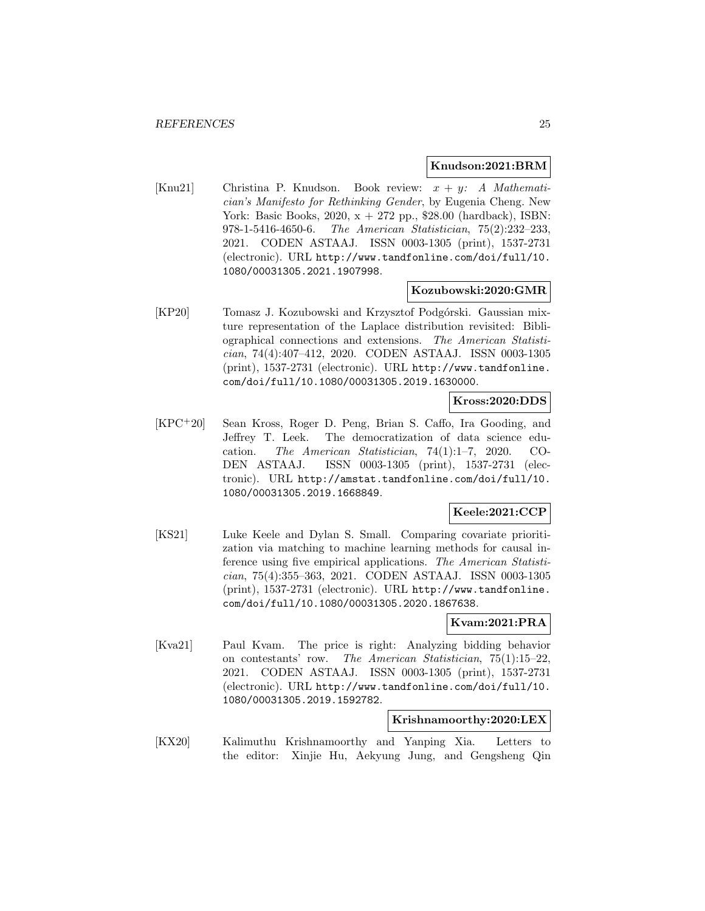#### **Knudson:2021:BRM**

[Knu21] Christina P. Knudson. Book review:  $x + y$ : A Mathematician's Manifesto for Rethinking Gender, by Eugenia Cheng. New York: Basic Books, 2020, x + 272 pp., \$28.00 (hardback), ISBN: 978-1-5416-4650-6. The American Statistician, 75(2):232–233, 2021. CODEN ASTAAJ. ISSN 0003-1305 (print), 1537-2731 (electronic). URL http://www.tandfonline.com/doi/full/10. 1080/00031305.2021.1907998.

#### **Kozubowski:2020:GMR**

[KP20] Tomasz J. Kozubowski and Krzysztof Podgórski. Gaussian mixture representation of the Laplace distribution revisited: Bibliographical connections and extensions. The American Statistician, 74(4):407–412, 2020. CODEN ASTAAJ. ISSN 0003-1305 (print), 1537-2731 (electronic). URL http://www.tandfonline. com/doi/full/10.1080/00031305.2019.1630000.

## **Kross:2020:DDS**

[KPC<sup>+</sup>20] Sean Kross, Roger D. Peng, Brian S. Caffo, Ira Gooding, and Jeffrey T. Leek. The democratization of data science education. The American Statistician, 74(1):1–7, 2020. CO-DEN ASTAAJ. ISSN 0003-1305 (print), 1537-2731 (electronic). URL http://amstat.tandfonline.com/doi/full/10. 1080/00031305.2019.1668849.

### **Keele:2021:CCP**

[KS21] Luke Keele and Dylan S. Small. Comparing covariate prioritization via matching to machine learning methods for causal inference using five empirical applications. The American Statistician, 75(4):355–363, 2021. CODEN ASTAAJ. ISSN 0003-1305 (print), 1537-2731 (electronic). URL http://www.tandfonline. com/doi/full/10.1080/00031305.2020.1867638.

#### **Kvam:2021:PRA**

[Kva21] Paul Kvam. The price is right: Analyzing bidding behavior on contestants' row. The American Statistician, 75(1):15–22, 2021. CODEN ASTAAJ. ISSN 0003-1305 (print), 1537-2731 (electronic). URL http://www.tandfonline.com/doi/full/10. 1080/00031305.2019.1592782.

## **Krishnamoorthy:2020:LEX**

[KX20] Kalimuthu Krishnamoorthy and Yanping Xia. Letters to the editor: Xinjie Hu, Aekyung Jung, and Gengsheng Qin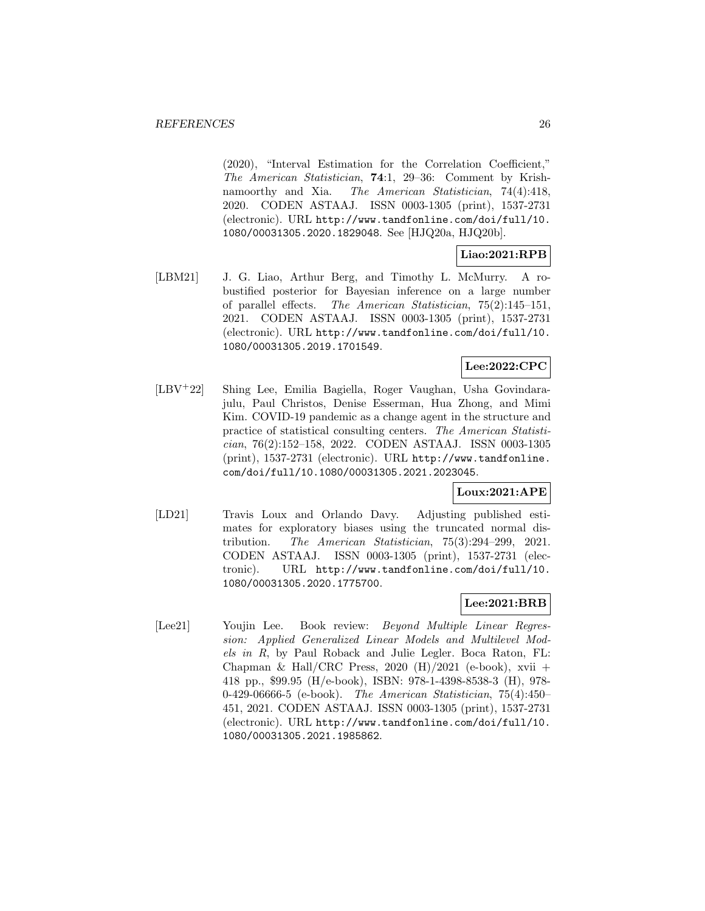(2020), "Interval Estimation for the Correlation Coefficient," The American Statistician, **74**:1, 29–36: Comment by Krishnamoorthy and Xia. The American Statistician, 74(4):418, 2020. CODEN ASTAAJ. ISSN 0003-1305 (print), 1537-2731 (electronic). URL http://www.tandfonline.com/doi/full/10. 1080/00031305.2020.1829048. See [HJQ20a, HJQ20b].

#### **Liao:2021:RPB**

[LBM21] J. G. Liao, Arthur Berg, and Timothy L. McMurry. A robustified posterior for Bayesian inference on a large number of parallel effects. The American Statistician, 75(2):145–151, 2021. CODEN ASTAAJ. ISSN 0003-1305 (print), 1537-2731 (electronic). URL http://www.tandfonline.com/doi/full/10. 1080/00031305.2019.1701549.

## **Lee:2022:CPC**

[LBV<sup>+</sup>22] Shing Lee, Emilia Bagiella, Roger Vaughan, Usha Govindarajulu, Paul Christos, Denise Esserman, Hua Zhong, and Mimi Kim. COVID-19 pandemic as a change agent in the structure and practice of statistical consulting centers. The American Statistician, 76(2):152–158, 2022. CODEN ASTAAJ. ISSN 0003-1305 (print), 1537-2731 (electronic). URL http://www.tandfonline. com/doi/full/10.1080/00031305.2021.2023045.

## **Loux:2021:APE**

[LD21] Travis Loux and Orlando Davy. Adjusting published estimates for exploratory biases using the truncated normal distribution. The American Statistician, 75(3):294–299, 2021. CODEN ASTAAJ. ISSN 0003-1305 (print), 1537-2731 (electronic). URL http://www.tandfonline.com/doi/full/10. 1080/00031305.2020.1775700.

## **Lee:2021:BRB**

[Lee21] Youjin Lee. Book review: Beyond Multiple Linear Regression: Applied Generalized Linear Models and Multilevel Models in R, by Paul Roback and Julie Legler. Boca Raton, FL: Chapman & Hall/CRC Press, 2020  $(H)/2021$  (e-book), xvii + 418 pp., \$99.95 (H/e-book), ISBN: 978-1-4398-8538-3 (H), 978- 0-429-06666-5 (e-book). The American Statistician, 75(4):450– 451, 2021. CODEN ASTAAJ. ISSN 0003-1305 (print), 1537-2731 (electronic). URL http://www.tandfonline.com/doi/full/10. 1080/00031305.2021.1985862.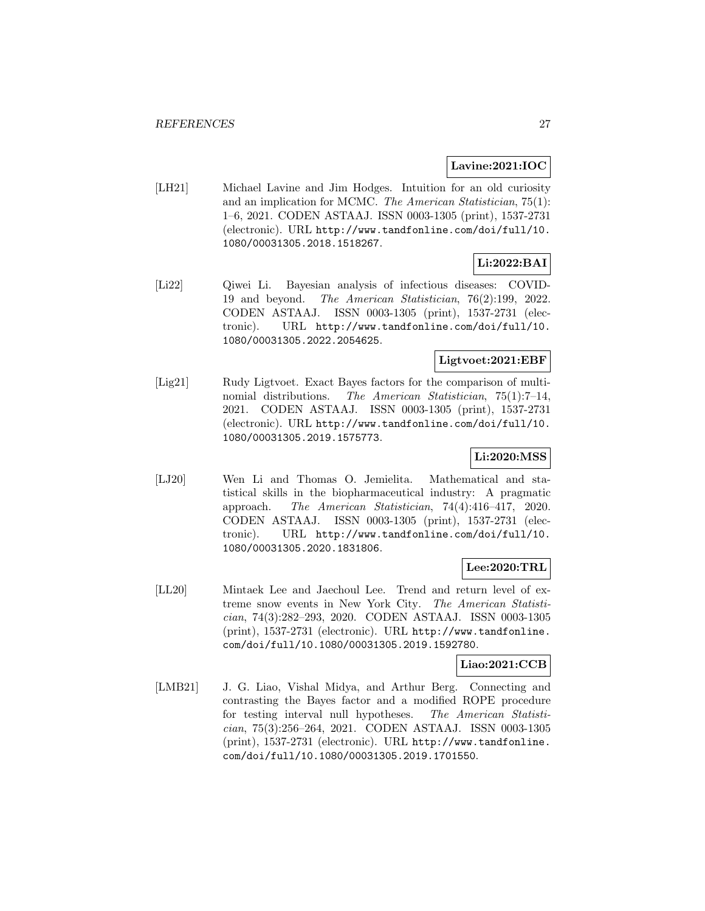#### **Lavine:2021:IOC**

[LH21] Michael Lavine and Jim Hodges. Intuition for an old curiosity and an implication for MCMC. The American Statistician, 75(1): 1–6, 2021. CODEN ASTAAJ. ISSN 0003-1305 (print), 1537-2731 (electronic). URL http://www.tandfonline.com/doi/full/10. 1080/00031305.2018.1518267.

## **Li:2022:BAI**

[Li22] Qiwei Li. Bayesian analysis of infectious diseases: COVID-19 and beyond. The American Statistician, 76(2):199, 2022. CODEN ASTAAJ. ISSN 0003-1305 (print), 1537-2731 (electronic). URL http://www.tandfonline.com/doi/full/10. 1080/00031305.2022.2054625.

## **Ligtvoet:2021:EBF**

[Lig21] Rudy Ligtvoet. Exact Bayes factors for the comparison of multinomial distributions. The American Statistician, 75(1):7-14, 2021. CODEN ASTAAJ. ISSN 0003-1305 (print), 1537-2731 (electronic). URL http://www.tandfonline.com/doi/full/10. 1080/00031305.2019.1575773.

## **Li:2020:MSS**

[LJ20] Wen Li and Thomas O. Jemielita. Mathematical and statistical skills in the biopharmaceutical industry: A pragmatic approach. The American Statistician, 74(4):416–417, 2020. CODEN ASTAAJ. ISSN 0003-1305 (print), 1537-2731 (electronic). URL http://www.tandfonline.com/doi/full/10. 1080/00031305.2020.1831806.

## **Lee:2020:TRL**

[LL20] Mintaek Lee and Jaechoul Lee. Trend and return level of extreme snow events in New York City. The American Statistician, 74(3):282–293, 2020. CODEN ASTAAJ. ISSN 0003-1305 (print), 1537-2731 (electronic). URL http://www.tandfonline. com/doi/full/10.1080/00031305.2019.1592780.

## **Liao:2021:CCB**

[LMB21] J. G. Liao, Vishal Midya, and Arthur Berg. Connecting and contrasting the Bayes factor and a modified ROPE procedure for testing interval null hypotheses. The American Statistician, 75(3):256–264, 2021. CODEN ASTAAJ. ISSN 0003-1305 (print), 1537-2731 (electronic). URL http://www.tandfonline. com/doi/full/10.1080/00031305.2019.1701550.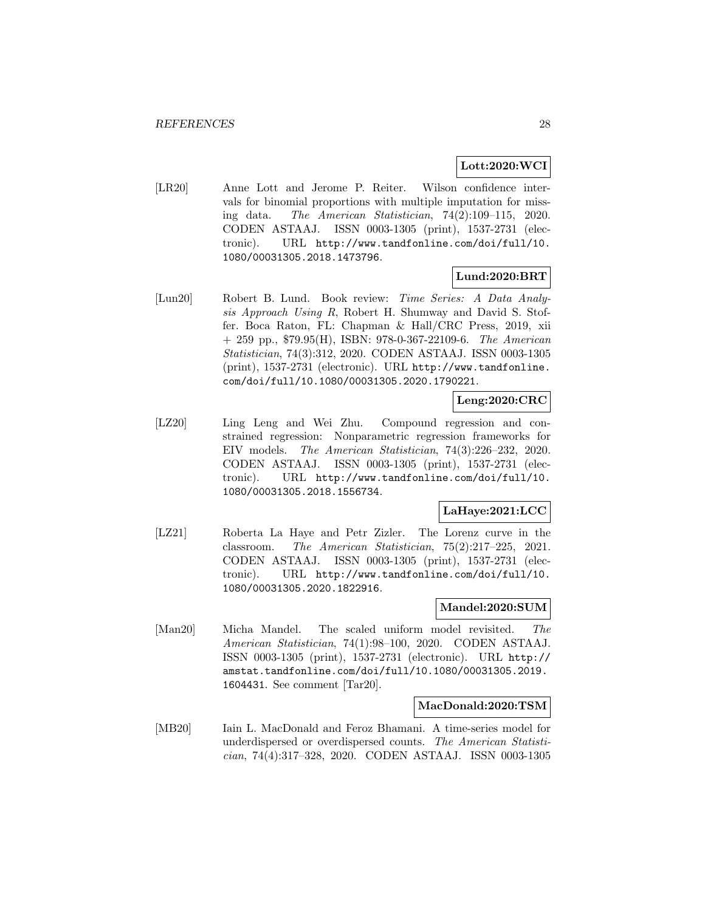## **Lott:2020:WCI**

[LR20] Anne Lott and Jerome P. Reiter. Wilson confidence intervals for binomial proportions with multiple imputation for missing data. The American Statistician, 74(2):109–115, 2020. CODEN ASTAAJ. ISSN 0003-1305 (print), 1537-2731 (electronic). URL http://www.tandfonline.com/doi/full/10. 1080/00031305.2018.1473796.

## **Lund:2020:BRT**

[Lun20] Robert B. Lund. Book review: Time Series: A Data Analysis Approach Using R, Robert H. Shumway and David S. Stoffer. Boca Raton, FL: Chapman & Hall/CRC Press, 2019, xii  $+ 259$  pp., \$79.95(H), ISBN: 978-0-367-22109-6. The American Statistician, 74(3):312, 2020. CODEN ASTAAJ. ISSN 0003-1305 (print), 1537-2731 (electronic). URL http://www.tandfonline. com/doi/full/10.1080/00031305.2020.1790221.

## **Leng:2020:CRC**

[LZ20] Ling Leng and Wei Zhu. Compound regression and constrained regression: Nonparametric regression frameworks for EIV models. The American Statistician, 74(3):226–232, 2020. CODEN ASTAAJ. ISSN 0003-1305 (print), 1537-2731 (electronic). URL http://www.tandfonline.com/doi/full/10. 1080/00031305.2018.1556734.

## **LaHaye:2021:LCC**

[LZ21] Roberta La Haye and Petr Zizler. The Lorenz curve in the classroom. The American Statistician, 75(2):217–225, 2021. CODEN ASTAAJ. ISSN 0003-1305 (print), 1537-2731 (electronic). URL http://www.tandfonline.com/doi/full/10. 1080/00031305.2020.1822916.

#### **Mandel:2020:SUM**

[Man20] Micha Mandel. The scaled uniform model revisited. The American Statistician, 74(1):98–100, 2020. CODEN ASTAAJ. ISSN 0003-1305 (print), 1537-2731 (electronic). URL http:// amstat.tandfonline.com/doi/full/10.1080/00031305.2019. 1604431. See comment [Tar20].

#### **MacDonald:2020:TSM**

[MB20] Iain L. MacDonald and Feroz Bhamani. A time-series model for underdispersed or overdispersed counts. The American Statistician, 74(4):317–328, 2020. CODEN ASTAAJ. ISSN 0003-1305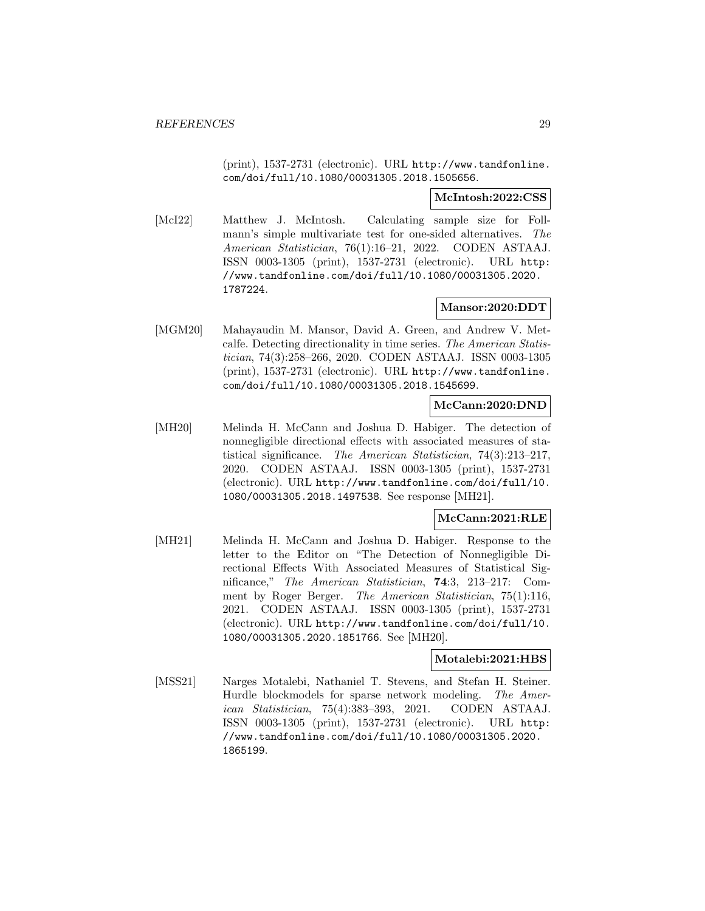(print), 1537-2731 (electronic). URL http://www.tandfonline. com/doi/full/10.1080/00031305.2018.1505656.

#### **McIntosh:2022:CSS**

[McI22] Matthew J. McIntosh. Calculating sample size for Follmann's simple multivariate test for one-sided alternatives. The American Statistician, 76(1):16–21, 2022. CODEN ASTAAJ. ISSN 0003-1305 (print), 1537-2731 (electronic). URL http: //www.tandfonline.com/doi/full/10.1080/00031305.2020. 1787224.

## **Mansor:2020:DDT**

[MGM20] Mahayaudin M. Mansor, David A. Green, and Andrew V. Metcalfe. Detecting directionality in time series. The American Statistician, 74(3):258–266, 2020. CODEN ASTAAJ. ISSN 0003-1305 (print), 1537-2731 (electronic). URL http://www.tandfonline. com/doi/full/10.1080/00031305.2018.1545699.

#### **McCann:2020:DND**

[MH20] Melinda H. McCann and Joshua D. Habiger. The detection of nonnegligible directional effects with associated measures of statistical significance. The American Statistician, 74(3):213–217, 2020. CODEN ASTAAJ. ISSN 0003-1305 (print), 1537-2731 (electronic). URL http://www.tandfonline.com/doi/full/10. 1080/00031305.2018.1497538. See response [MH21].

#### **McCann:2021:RLE**

[MH21] Melinda H. McCann and Joshua D. Habiger. Response to the letter to the Editor on "The Detection of Nonnegligible Directional Effects With Associated Measures of Statistical Significance," The American Statistician, **74**:3, 213–217: Comment by Roger Berger. The American Statistician, 75(1):116, 2021. CODEN ASTAAJ. ISSN 0003-1305 (print), 1537-2731 (electronic). URL http://www.tandfonline.com/doi/full/10. 1080/00031305.2020.1851766. See [MH20].

#### **Motalebi:2021:HBS**

[MSS21] Narges Motalebi, Nathaniel T. Stevens, and Stefan H. Steiner. Hurdle blockmodels for sparse network modeling. The American Statistician, 75(4):383–393, 2021. CODEN ASTAAJ. ISSN 0003-1305 (print), 1537-2731 (electronic). URL http: //www.tandfonline.com/doi/full/10.1080/00031305.2020. 1865199.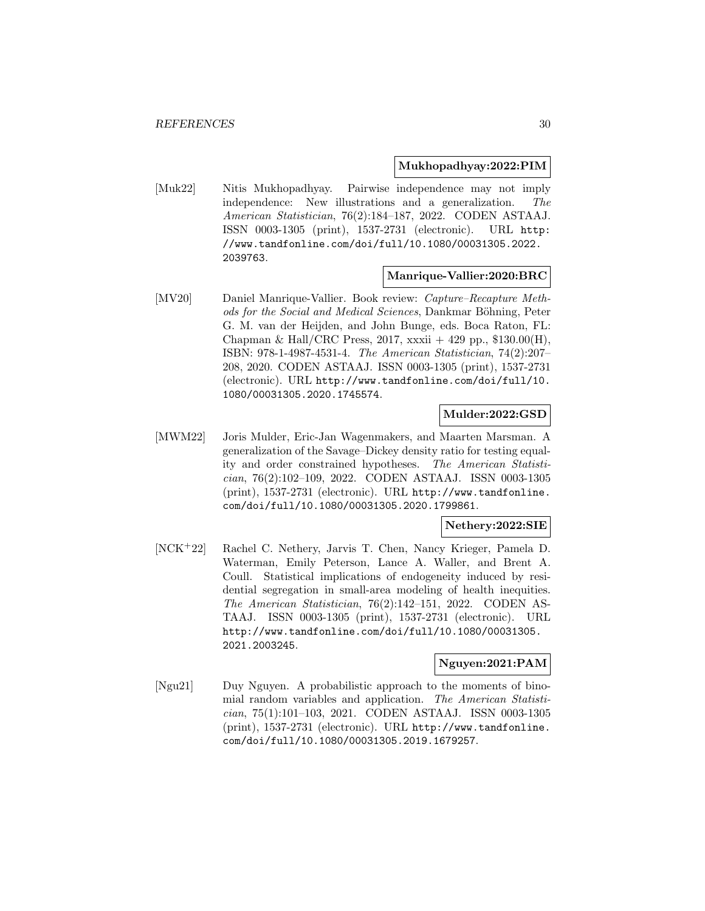#### **Mukhopadhyay:2022:PIM**

[Muk22] Nitis Mukhopadhyay. Pairwise independence may not imply independence: New illustrations and a generalization. The American Statistician, 76(2):184–187, 2022. CODEN ASTAAJ. ISSN 0003-1305 (print), 1537-2731 (electronic). URL http: //www.tandfonline.com/doi/full/10.1080/00031305.2022. 2039763.

#### **Manrique-Vallier:2020:BRC**

[MV20] Daniel Manrique-Vallier. Book review: Capture–Recapture Methods for the Social and Medical Sciences, Dankmar Böhning, Peter G. M. van der Heijden, and John Bunge, eds. Boca Raton, FL: Chapman & Hall/CRC Press, 2017, xxxii + 429 pp.,  $$130.00(H)$ , ISBN: 978-1-4987-4531-4. The American Statistician, 74(2):207– 208, 2020. CODEN ASTAAJ. ISSN 0003-1305 (print), 1537-2731 (electronic). URL http://www.tandfonline.com/doi/full/10. 1080/00031305.2020.1745574.

## **Mulder:2022:GSD**

[MWM22] Joris Mulder, Eric-Jan Wagenmakers, and Maarten Marsman. A generalization of the Savage–Dickey density ratio for testing equality and order constrained hypotheses. The American Statistician, 76(2):102–109, 2022. CODEN ASTAAJ. ISSN 0003-1305 (print), 1537-2731 (electronic). URL http://www.tandfonline. com/doi/full/10.1080/00031305.2020.1799861.

#### **Nethery:2022:SIE**

[NCK<sup>+</sup>22] Rachel C. Nethery, Jarvis T. Chen, Nancy Krieger, Pamela D. Waterman, Emily Peterson, Lance A. Waller, and Brent A. Coull. Statistical implications of endogeneity induced by residential segregation in small-area modeling of health inequities. The American Statistician, 76(2):142–151, 2022. CODEN AS-TAAJ. ISSN 0003-1305 (print), 1537-2731 (electronic). URL http://www.tandfonline.com/doi/full/10.1080/00031305. 2021.2003245.

## **Nguyen:2021:PAM**

[Ngu21] Duy Nguyen. A probabilistic approach to the moments of binomial random variables and application. The American Statistician, 75(1):101–103, 2021. CODEN ASTAAJ. ISSN 0003-1305 (print), 1537-2731 (electronic). URL http://www.tandfonline. com/doi/full/10.1080/00031305.2019.1679257.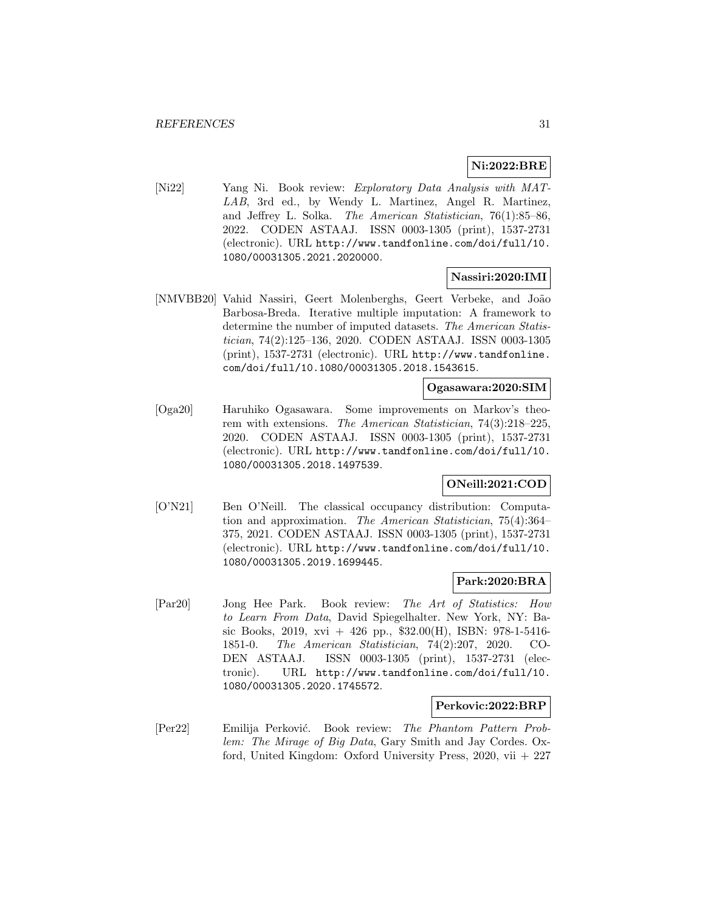## **Ni:2022:BRE**

[Ni22] Yang Ni. Book review: Exploratory Data Analysis with MAT-LAB, 3rd ed., by Wendy L. Martinez, Angel R. Martinez, and Jeffrey L. Solka. The American Statistician, 76(1):85–86, 2022. CODEN ASTAAJ. ISSN 0003-1305 (print), 1537-2731 (electronic). URL http://www.tandfonline.com/doi/full/10. 1080/00031305.2021.2020000.

## **Nassiri:2020:IMI**

[NMVBB20] Vahid Nassiri, Geert Molenberghs, Geert Verbeke, and João Barbosa-Breda. Iterative multiple imputation: A framework to determine the number of imputed datasets. The American Statistician, 74(2):125–136, 2020. CODEN ASTAAJ. ISSN 0003-1305 (print), 1537-2731 (electronic). URL http://www.tandfonline. com/doi/full/10.1080/00031305.2018.1543615.

#### **Ogasawara:2020:SIM**

[Oga20] Haruhiko Ogasawara. Some improvements on Markov's theorem with extensions. The American Statistician, 74(3):218–225, 2020. CODEN ASTAAJ. ISSN 0003-1305 (print), 1537-2731 (electronic). URL http://www.tandfonline.com/doi/full/10. 1080/00031305.2018.1497539.

## **ONeill:2021:COD**

[O'N21] Ben O'Neill. The classical occupancy distribution: Computation and approximation. The American Statistician, 75(4):364– 375, 2021. CODEN ASTAAJ. ISSN 0003-1305 (print), 1537-2731 (electronic). URL http://www.tandfonline.com/doi/full/10. 1080/00031305.2019.1699445.

#### **Park:2020:BRA**

[Par20] Jong Hee Park. Book review: The Art of Statistics: How to Learn From Data, David Spiegelhalter. New York, NY: Basic Books, 2019, xvi + 426 pp., \$32.00(H), ISBN: 978-1-5416- 1851-0. The American Statistician, 74(2):207, 2020. CO-DEN ASTAAJ. ISSN 0003-1305 (print), 1537-2731 (electronic). URL http://www.tandfonline.com/doi/full/10. 1080/00031305.2020.1745572.

#### **Perkovic:2022:BRP**

[Per22] Emilija Perković. Book review: The Phantom Pattern Problem: The Mirage of Big Data, Gary Smith and Jay Cordes. Oxford, United Kingdom: Oxford University Press, 2020, vii + 227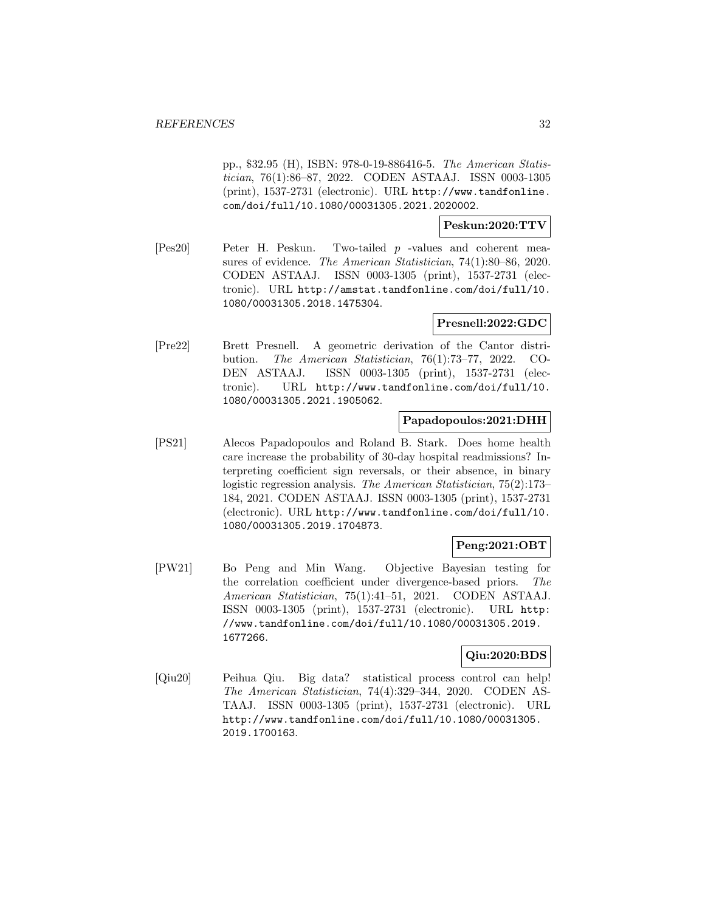pp., \$32.95 (H), ISBN: 978-0-19-886416-5. The American Statistician, 76(1):86–87, 2022. CODEN ASTAAJ. ISSN 0003-1305 (print), 1537-2731 (electronic). URL http://www.tandfonline. com/doi/full/10.1080/00031305.2021.2020002.

#### **Peskun:2020:TTV**

[Pes20] Peter H. Peskun. Two-tailed p -values and coherent measures of evidence. The American Statistician, 74(1):80–86, 2020. CODEN ASTAAJ. ISSN 0003-1305 (print), 1537-2731 (electronic). URL http://amstat.tandfonline.com/doi/full/10. 1080/00031305.2018.1475304.

#### **Presnell:2022:GDC**

[Pre22] Brett Presnell. A geometric derivation of the Cantor distribution. The American Statistician, 76(1):73–77, 2022. CO-DEN ASTAAJ. ISSN 0003-1305 (print), 1537-2731 (electronic). URL http://www.tandfonline.com/doi/full/10. 1080/00031305.2021.1905062.

## **Papadopoulos:2021:DHH**

[PS21] Alecos Papadopoulos and Roland B. Stark. Does home health care increase the probability of 30-day hospital readmissions? Interpreting coefficient sign reversals, or their absence, in binary logistic regression analysis. The American Statistician, 75(2):173– 184, 2021. CODEN ASTAAJ. ISSN 0003-1305 (print), 1537-2731 (electronic). URL http://www.tandfonline.com/doi/full/10. 1080/00031305.2019.1704873.

## **Peng:2021:OBT**

[PW21] Bo Peng and Min Wang. Objective Bayesian testing for the correlation coefficient under divergence-based priors. The American Statistician, 75(1):41–51, 2021. CODEN ASTAAJ. ISSN 0003-1305 (print), 1537-2731 (electronic). URL http: //www.tandfonline.com/doi/full/10.1080/00031305.2019. 1677266.

#### **Qiu:2020:BDS**

[Qiu20] Peihua Qiu. Big data? statistical process control can help! The American Statistician, 74(4):329–344, 2020. CODEN AS-TAAJ. ISSN 0003-1305 (print), 1537-2731 (electronic). URL http://www.tandfonline.com/doi/full/10.1080/00031305. 2019.1700163.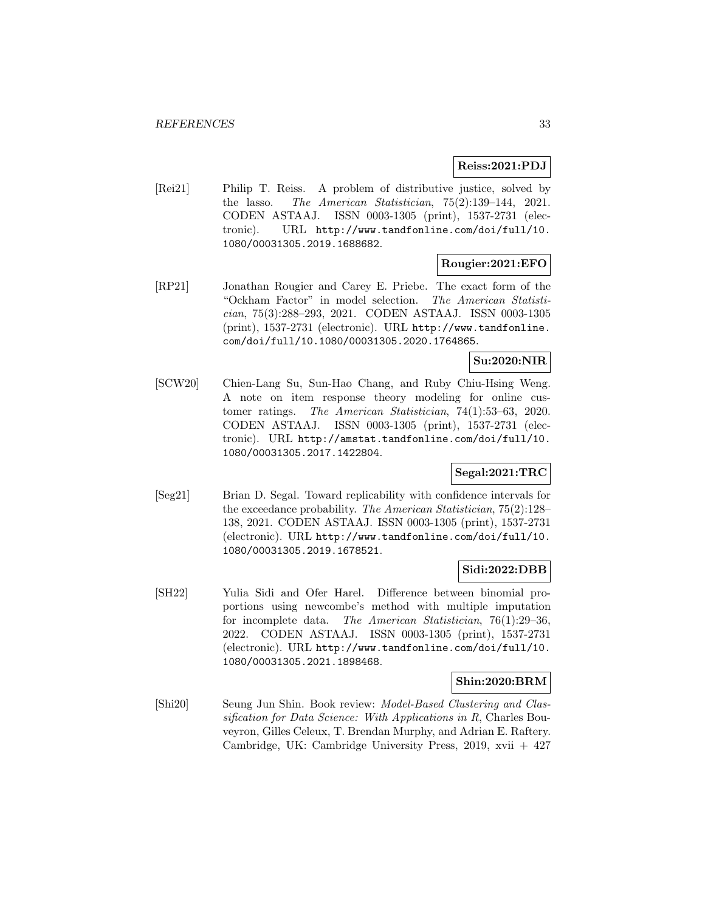#### **Reiss:2021:PDJ**

[Rei21] Philip T. Reiss. A problem of distributive justice, solved by the lasso. The American Statistician,  $75(2):139-144$ ,  $2021$ . CODEN ASTAAJ. ISSN 0003-1305 (print), 1537-2731 (electronic). URL http://www.tandfonline.com/doi/full/10. 1080/00031305.2019.1688682.

#### **Rougier:2021:EFO**

[RP21] Jonathan Rougier and Carey E. Priebe. The exact form of the "Ockham Factor" in model selection. The American Statistician, 75(3):288–293, 2021. CODEN ASTAAJ. ISSN 0003-1305 (print), 1537-2731 (electronic). URL http://www.tandfonline. com/doi/full/10.1080/00031305.2020.1764865.

## **Su:2020:NIR**

[SCW20] Chien-Lang Su, Sun-Hao Chang, and Ruby Chiu-Hsing Weng. A note on item response theory modeling for online customer ratings. The American Statistician, 74(1):53–63, 2020. CODEN ASTAAJ. ISSN 0003-1305 (print), 1537-2731 (electronic). URL http://amstat.tandfonline.com/doi/full/10. 1080/00031305.2017.1422804.

## **Segal:2021:TRC**

[Seg21] Brian D. Segal. Toward replicability with confidence intervals for the exceedance probability. The American Statistician, 75(2):128– 138, 2021. CODEN ASTAAJ. ISSN 0003-1305 (print), 1537-2731 (electronic). URL http://www.tandfonline.com/doi/full/10. 1080/00031305.2019.1678521.

### **Sidi:2022:DBB**

[SH22] Yulia Sidi and Ofer Harel. Difference between binomial proportions using newcombe's method with multiple imputation for incomplete data. The American Statistician, 76(1):29–36, 2022. CODEN ASTAAJ. ISSN 0003-1305 (print), 1537-2731 (electronic). URL http://www.tandfonline.com/doi/full/10. 1080/00031305.2021.1898468.

#### **Shin:2020:BRM**

[Shi20] Seung Jun Shin. Book review: Model-Based Clustering and Classification for Data Science: With Applications in R, Charles Bouveyron, Gilles Celeux, T. Brendan Murphy, and Adrian E. Raftery. Cambridge, UK: Cambridge University Press, 2019, xvii + 427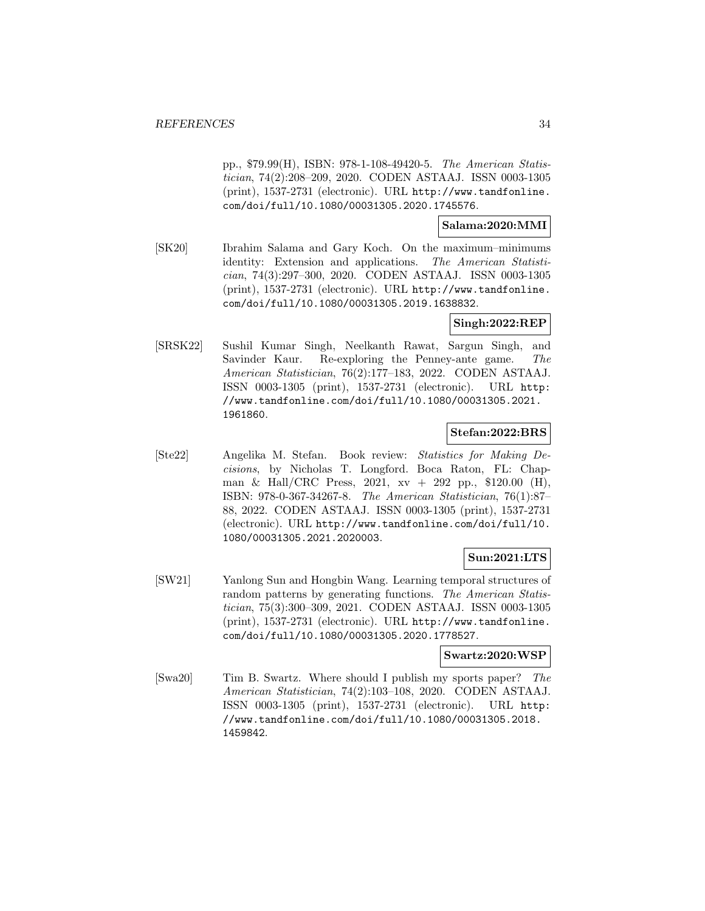pp., \$79.99(H), ISBN: 978-1-108-49420-5. The American Statistician, 74(2):208–209, 2020. CODEN ASTAAJ. ISSN 0003-1305 (print), 1537-2731 (electronic). URL http://www.tandfonline. com/doi/full/10.1080/00031305.2020.1745576.

#### **Salama:2020:MMI**

[SK20] Ibrahim Salama and Gary Koch. On the maximum–minimums identity: Extension and applications. The American Statistician, 74(3):297–300, 2020. CODEN ASTAAJ. ISSN 0003-1305 (print), 1537-2731 (electronic). URL http://www.tandfonline. com/doi/full/10.1080/00031305.2019.1638832.

## **Singh:2022:REP**

[SRSK22] Sushil Kumar Singh, Neelkanth Rawat, Sargun Singh, and Savinder Kaur. Re-exploring the Penney-ante game. The American Statistician, 76(2):177–183, 2022. CODEN ASTAAJ. ISSN 0003-1305 (print), 1537-2731 (electronic). URL http: //www.tandfonline.com/doi/full/10.1080/00031305.2021. 1961860.

#### **Stefan:2022:BRS**

[Ste22] Angelika M. Stefan. Book review: Statistics for Making Decisions, by Nicholas T. Longford. Boca Raton, FL: Chapman & Hall/CRC Press, 2021, xv + 292 pp., \$120.00 (H), ISBN: 978-0-367-34267-8. The American Statistician, 76(1):87– 88, 2022. CODEN ASTAAJ. ISSN 0003-1305 (print), 1537-2731 (electronic). URL http://www.tandfonline.com/doi/full/10. 1080/00031305.2021.2020003.

#### **Sun:2021:LTS**

[SW21] Yanlong Sun and Hongbin Wang. Learning temporal structures of random patterns by generating functions. The American Statistician, 75(3):300–309, 2021. CODEN ASTAAJ. ISSN 0003-1305 (print), 1537-2731 (electronic). URL http://www.tandfonline. com/doi/full/10.1080/00031305.2020.1778527.

#### **Swartz:2020:WSP**

[Swa20] Tim B. Swartz. Where should I publish my sports paper? The American Statistician, 74(2):103–108, 2020. CODEN ASTAAJ. ISSN 0003-1305 (print), 1537-2731 (electronic). URL http: //www.tandfonline.com/doi/full/10.1080/00031305.2018. 1459842.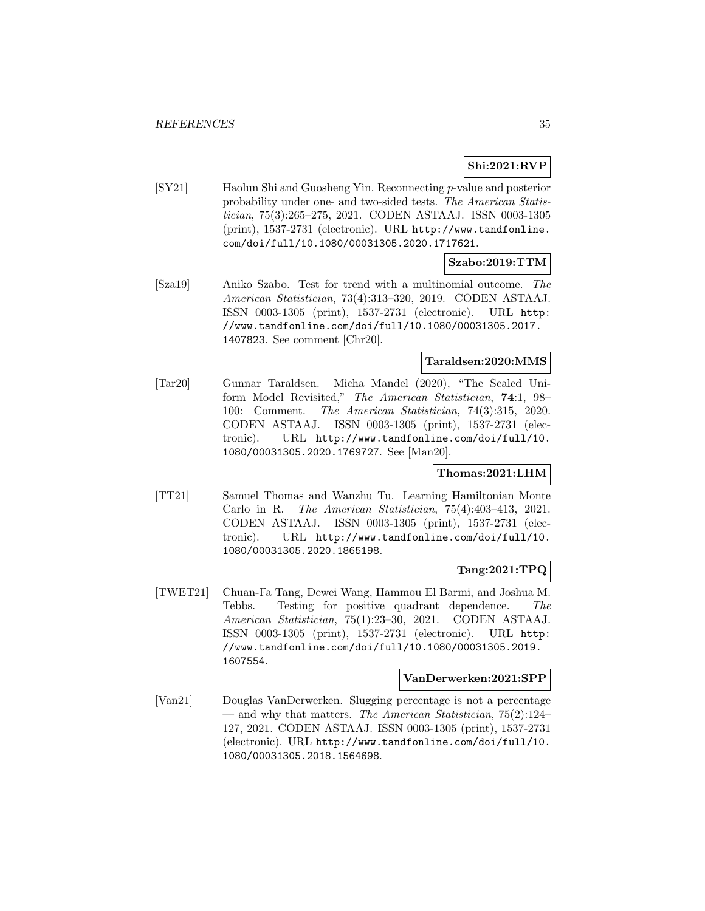## **Shi:2021:RVP**

[SY21] Haolun Shi and Guosheng Yin. Reconnecting p-value and posterior probability under one- and two-sided tests. The American Statistician, 75(3):265–275, 2021. CODEN ASTAAJ. ISSN 0003-1305 (print), 1537-2731 (electronic). URL http://www.tandfonline. com/doi/full/10.1080/00031305.2020.1717621.

## **Szabo:2019:TTM**

[Sza19] Aniko Szabo. Test for trend with a multinomial outcome. The American Statistician, 73(4):313–320, 2019. CODEN ASTAAJ. ISSN 0003-1305 (print), 1537-2731 (electronic). URL http: //www.tandfonline.com/doi/full/10.1080/00031305.2017. 1407823. See comment [Chr20].

#### **Taraldsen:2020:MMS**

[Tar20] Gunnar Taraldsen. Micha Mandel (2020), "The Scaled Uniform Model Revisited," The American Statistician, **74**:1, 98– 100: Comment. The American Statistician, 74(3):315, 2020. CODEN ASTAAJ. ISSN 0003-1305 (print), 1537-2731 (electronic). URL http://www.tandfonline.com/doi/full/10. 1080/00031305.2020.1769727. See [Man20].

#### **Thomas:2021:LHM**

[TT21] Samuel Thomas and Wanzhu Tu. Learning Hamiltonian Monte Carlo in R. The American Statistician, 75(4):403–413, 2021. CODEN ASTAAJ. ISSN 0003-1305 (print), 1537-2731 (electronic). URL http://www.tandfonline.com/doi/full/10. 1080/00031305.2020.1865198.

## **Tang:2021:TPQ**

[TWET21] Chuan-Fa Tang, Dewei Wang, Hammou El Barmi, and Joshua M. Tebbs. Testing for positive quadrant dependence. The American Statistician, 75(1):23–30, 2021. CODEN ASTAAJ. ISSN 0003-1305 (print), 1537-2731 (electronic). URL http: //www.tandfonline.com/doi/full/10.1080/00031305.2019. 1607554.

#### **VanDerwerken:2021:SPP**

[Van21] Douglas VanDerwerken. Slugging percentage is not a percentage — and why that matters. The American Statistician,  $75(2):124-$ 127, 2021. CODEN ASTAAJ. ISSN 0003-1305 (print), 1537-2731 (electronic). URL http://www.tandfonline.com/doi/full/10. 1080/00031305.2018.1564698.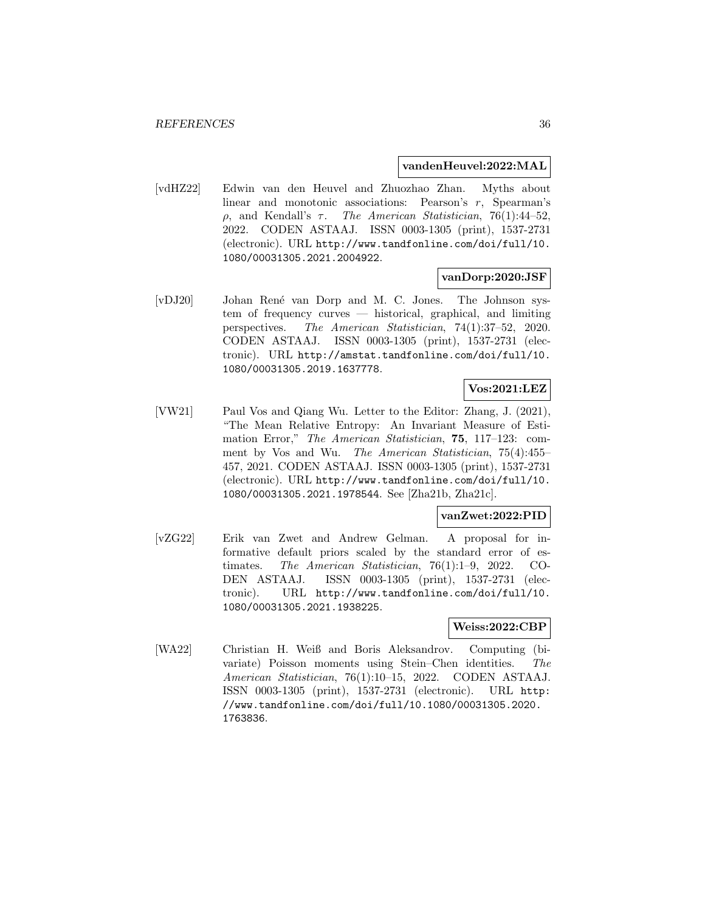#### **vandenHeuvel:2022:MAL**

[vdHZ22] Edwin van den Heuvel and Zhuozhao Zhan. Myths about linear and monotonic associations: Pearson's r, Spearman's ρ, and Kendall's  $τ$ . The American Statistician, 76(1):44-52, 2022. CODEN ASTAAJ. ISSN 0003-1305 (print), 1537-2731 (electronic). URL http://www.tandfonline.com/doi/full/10. 1080/00031305.2021.2004922.

#### **vanDorp:2020:JSF**

[vDJ20] Johan René van Dorp and M. C. Jones. The Johnson system of frequency curves — historical, graphical, and limiting perspectives. The American Statistician, 74(1):37–52, 2020. CODEN ASTAAJ. ISSN 0003-1305 (print), 1537-2731 (electronic). URL http://amstat.tandfonline.com/doi/full/10. 1080/00031305.2019.1637778.

#### **Vos:2021:LEZ**

[VW21] Paul Vos and Qiang Wu. Letter to the Editor: Zhang, J. (2021), "The Mean Relative Entropy: An Invariant Measure of Estimation Error," The American Statistician, **75**, 117–123: comment by Vos and Wu. The American Statistician, 75(4):455– 457, 2021. CODEN ASTAAJ. ISSN 0003-1305 (print), 1537-2731 (electronic). URL http://www.tandfonline.com/doi/full/10. 1080/00031305.2021.1978544. See [Zha21b, Zha21c].

#### **vanZwet:2022:PID**

[vZG22] Erik van Zwet and Andrew Gelman. A proposal for informative default priors scaled by the standard error of estimates. The American Statistician, 76(1):1–9, 2022. CO-DEN ASTAAJ. ISSN 0003-1305 (print), 1537-2731 (electronic). URL http://www.tandfonline.com/doi/full/10. 1080/00031305.2021.1938225.

## **Weiss:2022:CBP**

[WA22] Christian H. Weiß and Boris Aleksandrov. Computing (bivariate) Poisson moments using Stein–Chen identities. The American Statistician, 76(1):10–15, 2022. CODEN ASTAAJ. ISSN 0003-1305 (print), 1537-2731 (electronic). URL http: //www.tandfonline.com/doi/full/10.1080/00031305.2020. 1763836.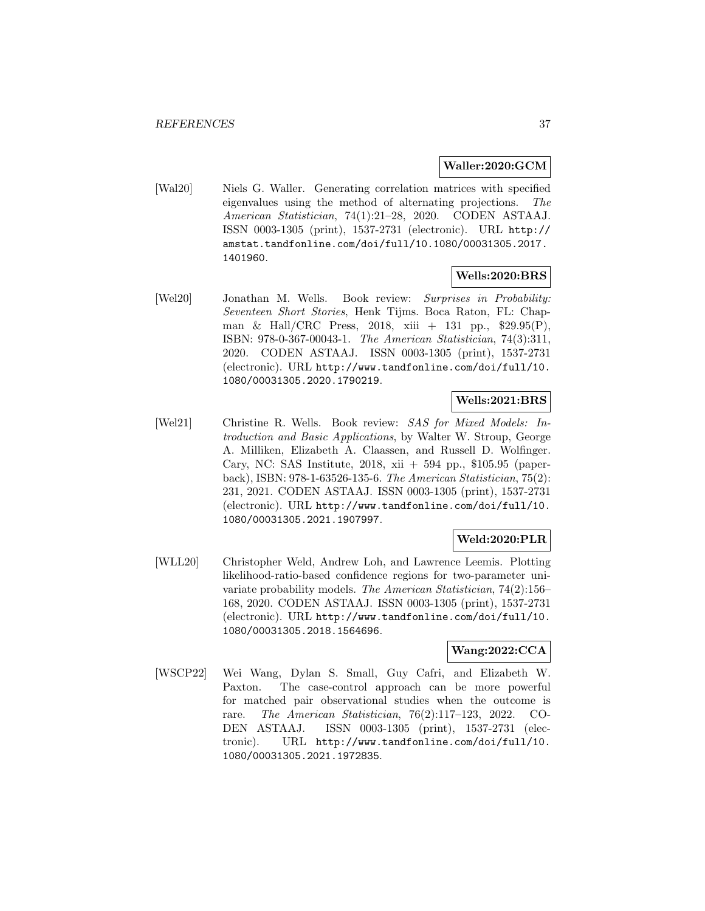#### **Waller:2020:GCM**

[Wal20] Niels G. Waller. Generating correlation matrices with specified eigenvalues using the method of alternating projections. The American Statistician, 74(1):21–28, 2020. CODEN ASTAAJ. ISSN 0003-1305 (print), 1537-2731 (electronic). URL http:// amstat.tandfonline.com/doi/full/10.1080/00031305.2017. 1401960.

## **Wells:2020:BRS**

[Wel20] Jonathan M. Wells. Book review: Surprises in Probability: Seventeen Short Stories, Henk Tijms. Boca Raton, FL: Chapman & Hall/CRC Press, 2018, xiii + 131 pp., \$29.95(P), ISBN: 978-0-367-00043-1. The American Statistician, 74(3):311, 2020. CODEN ASTAAJ. ISSN 0003-1305 (print), 1537-2731 (electronic). URL http://www.tandfonline.com/doi/full/10. 1080/00031305.2020.1790219.

## **Wells:2021:BRS**

[Wel21] Christine R. Wells. Book review: SAS for Mixed Models: Introduction and Basic Applications, by Walter W. Stroup, George A. Milliken, Elizabeth A. Claassen, and Russell D. Wolfinger. Cary, NC: SAS Institute, 2018, xii + 594 pp., \$105.95 (paperback), ISBN: 978-1-63526-135-6. The American Statistician, 75(2): 231, 2021. CODEN ASTAAJ. ISSN 0003-1305 (print), 1537-2731 (electronic). URL http://www.tandfonline.com/doi/full/10. 1080/00031305.2021.1907997.

## **Weld:2020:PLR**

[WLL20] Christopher Weld, Andrew Loh, and Lawrence Leemis. Plotting likelihood-ratio-based confidence regions for two-parameter univariate probability models. The American Statistician, 74(2):156– 168, 2020. CODEN ASTAAJ. ISSN 0003-1305 (print), 1537-2731 (electronic). URL http://www.tandfonline.com/doi/full/10. 1080/00031305.2018.1564696.

## **Wang:2022:CCA**

[WSCP22] Wei Wang, Dylan S. Small, Guy Cafri, and Elizabeth W. Paxton. The case-control approach can be more powerful for matched pair observational studies when the outcome is rare. The American Statistician, 76(2):117–123, 2022. CO-DEN ASTAAJ. ISSN 0003-1305 (print), 1537-2731 (electronic). URL http://www.tandfonline.com/doi/full/10. 1080/00031305.2021.1972835.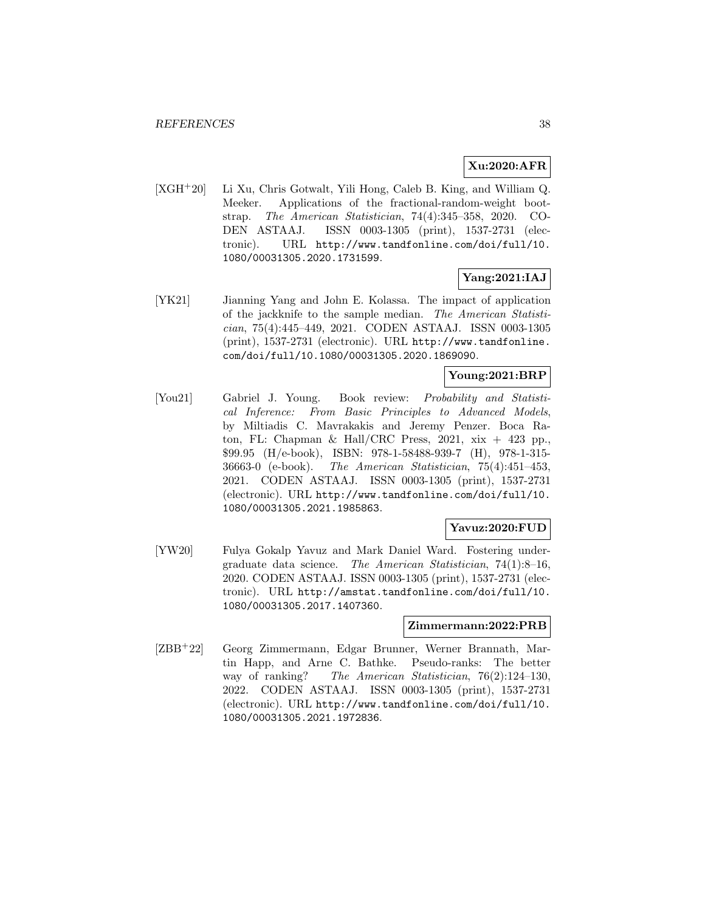## **Xu:2020:AFR**

[XGH<sup>+</sup>20] Li Xu, Chris Gotwalt, Yili Hong, Caleb B. King, and William Q. Meeker. Applications of the fractional-random-weight bootstrap. The American Statistician, 74(4):345–358, 2020. CO-DEN ASTAAJ. ISSN 0003-1305 (print), 1537-2731 (electronic). URL http://www.tandfonline.com/doi/full/10. 1080/00031305.2020.1731599.

## **Yang:2021:IAJ**

[YK21] Jianning Yang and John E. Kolassa. The impact of application of the jackknife to the sample median. The American Statistician, 75(4):445–449, 2021. CODEN ASTAAJ. ISSN 0003-1305 (print), 1537-2731 (electronic). URL http://www.tandfonline. com/doi/full/10.1080/00031305.2020.1869090.

## **Young:2021:BRP**

[You21] Gabriel J. Young. Book review: Probability and Statistical Inference: From Basic Principles to Advanced Models, by Miltiadis C. Mavrakakis and Jeremy Penzer. Boca Raton, FL: Chapman & Hall/CRC Press, 2021,  $x\dot{x} + 423$  pp., \$99.95 (H/e-book), ISBN: 978-1-58488-939-7 (H), 978-1-315- 36663-0 (e-book). The American Statistician, 75(4):451–453, 2021. CODEN ASTAAJ. ISSN 0003-1305 (print), 1537-2731 (electronic). URL http://www.tandfonline.com/doi/full/10. 1080/00031305.2021.1985863.

#### **Yavuz:2020:FUD**

[YW20] Fulya Gokalp Yavuz and Mark Daniel Ward. Fostering undergraduate data science. The American Statistician, 74(1):8–16, 2020. CODEN ASTAAJ. ISSN 0003-1305 (print), 1537-2731 (electronic). URL http://amstat.tandfonline.com/doi/full/10. 1080/00031305.2017.1407360.

## **Zimmermann:2022:PRB**

[ZBB<sup>+</sup>22] Georg Zimmermann, Edgar Brunner, Werner Brannath, Martin Happ, and Arne C. Bathke. Pseudo-ranks: The better way of ranking? The American Statistician, 76(2):124–130, 2022. CODEN ASTAAJ. ISSN 0003-1305 (print), 1537-2731 (electronic). URL http://www.tandfonline.com/doi/full/10. 1080/00031305.2021.1972836.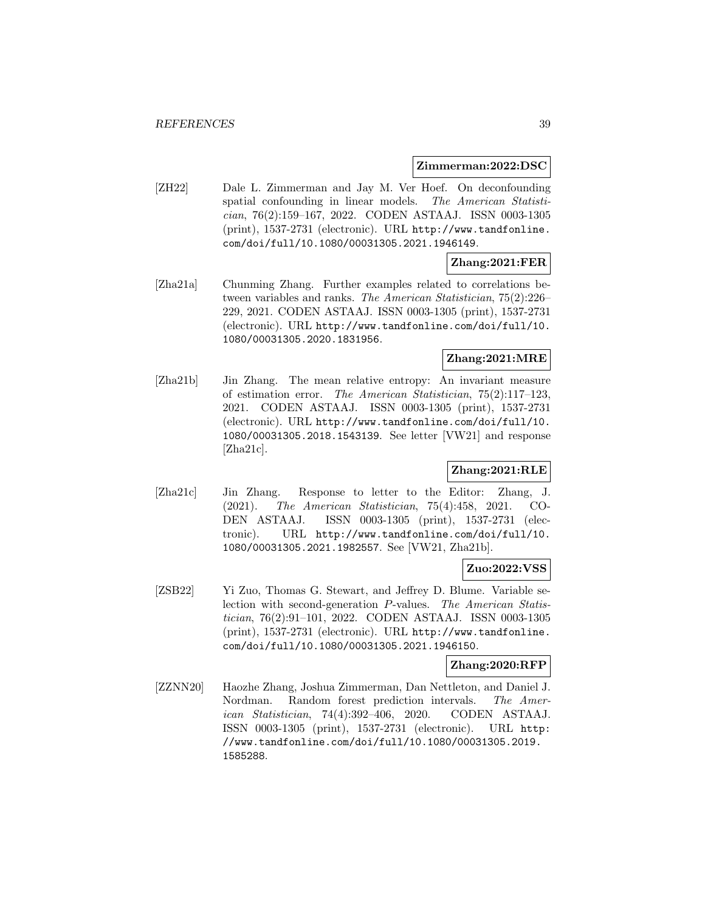#### **Zimmerman:2022:DSC**

[ZH22] Dale L. Zimmerman and Jay M. Ver Hoef. On deconfounding spatial confounding in linear models. The American Statistician, 76(2):159–167, 2022. CODEN ASTAAJ. ISSN 0003-1305 (print), 1537-2731 (electronic). URL http://www.tandfonline. com/doi/full/10.1080/00031305.2021.1946149.

## **Zhang:2021:FER**

[Zha21a] Chunming Zhang. Further examples related to correlations between variables and ranks. The American Statistician, 75(2):226– 229, 2021. CODEN ASTAAJ. ISSN 0003-1305 (print), 1537-2731 (electronic). URL http://www.tandfonline.com/doi/full/10. 1080/00031305.2020.1831956.

## **Zhang:2021:MRE**

[Zha21b] Jin Zhang. The mean relative entropy: An invariant measure of estimation error. The American Statistician, 75(2):117–123, 2021. CODEN ASTAAJ. ISSN 0003-1305 (print), 1537-2731 (electronic). URL http://www.tandfonline.com/doi/full/10. 1080/00031305.2018.1543139. See letter [VW21] and response [Zha21c].

#### **Zhang:2021:RLE**

[Zha21c] Jin Zhang. Response to letter to the Editor: Zhang, J. (2021). The American Statistician, 75(4):458, 2021. CO-DEN ASTAAJ. ISSN 0003-1305 (print), 1537-2731 (electronic). URL http://www.tandfonline.com/doi/full/10. 1080/00031305.2021.1982557. See [VW21, Zha21b].

## **Zuo:2022:VSS**

[ZSB22] Yi Zuo, Thomas G. Stewart, and Jeffrey D. Blume. Variable selection with second-generation P-values. The American Statistician, 76(2):91–101, 2022. CODEN ASTAAJ. ISSN 0003-1305 (print), 1537-2731 (electronic). URL http://www.tandfonline. com/doi/full/10.1080/00031305.2021.1946150.

## **Zhang:2020:RFP**

[ZZNN20] Haozhe Zhang, Joshua Zimmerman, Dan Nettleton, and Daniel J. Nordman. Random forest prediction intervals. The American Statistician, 74(4):392–406, 2020. CODEN ASTAAJ. ISSN 0003-1305 (print), 1537-2731 (electronic). URL http: //www.tandfonline.com/doi/full/10.1080/00031305.2019. 1585288.